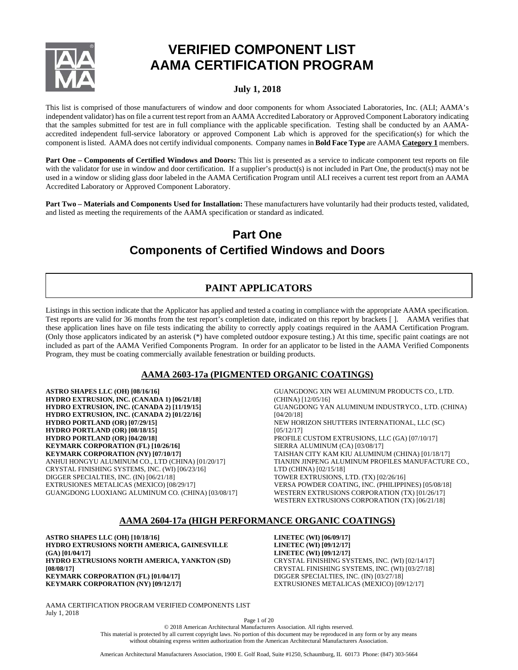

# **VERIFIED COMPONENT LIST AAMA CERTIFICATION PROGRAM**

# **July 1, 2018**

This list is comprised of those manufacturers of window and door components for whom Associated Laboratories, Inc. (ALI; AAMA's independent validator) has on file a current test report from an AAMA Accredited Laboratory or Approved Component Laboratory indicating that the samples submitted for test are in full compliance with the applicable specification. Testing shall be conducted by an AAMAaccredited independent full-service laboratory or approved Component Lab which is approved for the specification(s) for which the component is listed. AAMA does not certify individual components. Company names in **Bold Face Type** are AAMA **Category 1** members.

**Part One – Components of Certified Windows and Doors:** This list is presented as a service to indicate component test reports on file with the validator for use in window and door certification. If a supplier's product(s) is not included in Part One, the product(s) may not be used in a window or sliding glass door labeled in the AAMA Certification Program until ALI receives a current test report from an AAMA Accredited Laboratory or Approved Component Laboratory.

**Part Two – Materials and Components Used for Installation:** These manufacturers have voluntarily had their products tested, validated, and listed as meeting the requirements of the AAMA specification or standard as indicated.

# **Part One Components of Certified Windows and Doors**

# **PAINT APPLICATORS**

Listings in this section indicate that the Applicator has applied and tested a coating in compliance with the appropriate AAMA specification. Test reports are valid for 36 months from the test report's completion date, indicated on this report by brackets [ ]. AAMA verifies that these application lines have on file tests indicating the ability to correctly apply coatings required in the AAMA Certification Program. (Only those applicators indicated by an asterisk (\*) have completed outdoor exposure testing.) At this time, specific paint coatings are not included as part of the AAMA Verified Components Program. In order for an applicator to be listed in the AAMA Verified Components Program, they must be coating commercially available fenestration or building products.

# **AAMA 2603-17a (PIGMENTED ORGANIC COATINGS)**

**ASTRO SHAPES LLC (OH) [08/16/16] HYDRO EXTRUSION, INC. (CANADA 1) [06/21/18] HYDRO EXTRUSION, INC. (CANADA 2) [11/19/15] HYDRO EXTRUSION, INC. (CANADA 2) [01/22/16] HYDRO PORTLAND (OR) [07/29/15] HYDRO PORTLAND (OR) [08/18/15] HYDRO PORTLAND (OR) [04/20/18] KEYMARK CORPORATION (FL) [10/26/16] KEYMARK CORPORATION (NY) [07/10/17]** ANHUI HONGYU ALUMINUM CO., LTD (CHINA) [01/20/17] CRYSTAL FINISHING SYSTEMS, INC. (WI) [06/23/16] DIGGER SPECIALTIES, INC. (IN) [06/21/18] EXTRUSIONES METALICAS (MEXICO) [08/29/17] GUANGDONG LUOXIANG ALUMINUM CO. (CHINA) [03/08/17]

GUANGDONG XIN WEI ALUMINUM PRODUCTS CO., LTD. (CHINA) [12/05/16] GUANGDONG YAN ALUMINUM INDUSTRYCO., LTD. (CHINA) [04/20/18] NEW HORIZON SHUTTERS INTERNATIONAL, LLC (SC) [05/12/17] PROFILE CUSTOM EXTRUSIONS, LLC (GA) [07/10/17] SIERRA ALUMINUM (CA) [03/08/17] TAISHAN CITY KAM KIU ALUMINUM (CHINA) [01/18/17] TIANJIN JINPENG ALUMINUM PROFILES MANUFACTURE CO., LTD (CHINA) [02/15/18] TOWER EXTRUSIONS, LTD. (TX) [02/26/16] VERSA POWDER COATING, INC. (PHILIPPINES) [05/08/18] WESTERN EXTRUSIONS CORPORATION (TX) [01/26/17] WESTERN EXTRUSIONS CORPORATION (TX) [06/21/18]

# **AAMA 2604-17a (HIGH PERFORMANCE ORGANIC COATINGS)**

**ASTRO SHAPES LLC (OH) [10/18/16] HYDRO EXTRUSIONS NORTH AMERICA, GAINESVILLE (GA) [01/04/17] HYDRO EXTRUSIONS NORTH AMERICA, YANKTON (SD) [08/08/17] KEYMARK CORPORATION (FL) [01/04/17] KEYMARK CORPORATION (NY) [09/12/17]**

**LINETEC (WI) [06/09/17] LINETEC (WI) [09/12/17] LINETEC (WI) [09/12/17]** CRYSTAL FINISHING SYSTEMS, INC. (WI) [02/14/17] CRYSTAL FINISHING SYSTEMS, INC. (WI) [03/27/18] DIGGER SPECIALTIES, INC. (IN) [03/27/18] EXTRUSIONES METALICAS (MEXICO) [09/12/17]

AAMA CERTIFICATION PROGRAM VERIFIED COMPONENTS LIST July 1, 2018

Page 1 of 20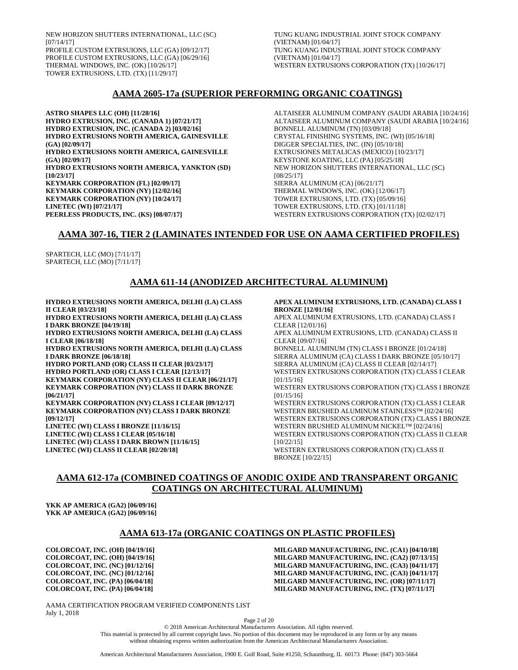NEW HORIZON SHUTTERS INTERNATIONAL, LLC (SC) [07/14/17] PROFILE CUSTOM EXTRSUIONS, LLC (GA) [09/12/17] PROFILE CUSTOM EXTRUSIONS, LLC (GA) [06/29/16] THERMAL WINDOWS, INC. (OK) [10/26/17] TOWER EXTRUSIONS, LTD. (TX) [11/29/17]

TUNG KUANG INDUSTRIAL JOINT STOCK COMPANY (VIETNAM) [01/04/17] TUNG KUANG INDUSTRIAL JOINT STOCK COMPANY (VIETNAM) [01/04/17] WESTERN EXTRUSIONS CORPORATION (TX) [10/26/17]

# **AAMA 2605-17a (SUPERIOR PERFORMING ORGANIC COATINGS)**

**ASTRO SHAPES LLC (OH) [11/28/16] HYDRO EXTRUSION, INC. (CANADA 1) [07/21/17] HYDRO EXTRUSION, INC. (CANADA 2) [03/02/16] HYDRO EXTRUSIONS NORTH AMERICA, GAINESVILLE (GA) [02/09/17] HYDRO EXTRUSIONS NORTH AMERICA, GAINESVILLE (GA) [02/09/17] HYDRO EXTRUSIONS NORTH AMERICA, YANKTON (SD) [10/23/17] KEYMARK CORPORATION (FL) [02/09/17] KEYMARK CORPORATION (NY) [12/02/16] KEYMARK CORPORATION (NY) [10/24/17] LINETEC (WI) [07/21/17] PEERLESS PRODUCTS, INC. (KS) [08/07/17]**

ALTAISEER ALUMINUM COMPANY (SAUDI ARABIA [10/24/16] ALTAISEER ALUMINUM COMPANY (SAUDI ARABIA [10/24/16] BONNELL ALUMINUM (TN) [03/09/18] CRYSTAL FINISHING SYSTEMS, INC. (WI) [05/16/18] DIGGER SPECIALTIES, INC. (IN) [05/10/18] EXTRUSIONES METALICAS (MEXICO) [10/23/17] KEYSTONE KOATING, LLC (PA) [05/25/18] NEW HORIZON SHUTTERS INTERNATIONAL, LLC (SC) [08/25/17] SIERRA ALUMINUM (CA) [06/21/17] THERMAL WINDOWS, INC. (OK) [12/06/17] TOWER EXTRUSIONS, LTD. (TX) [05/09/16] TOWER EXTRUSIONS, LTD. (TX) [01/11/18] WESTERN EXTRUSIONS CORPORATION (TX) [02/02/17]

# **AAMA 307-16, TIER 2 (LAMINATES INTENDED FOR USE ON AAMA CERTIFIED PROFILES)**

SPARTECH, LLC (MO) [7/11/17] SPARTECH, LLC (MO) [7/11/17]

# **AAMA 611-14 (ANODIZED ARCHITECTURAL ALUMINUM)**

**HYDRO EXTRUSIONS NORTH AMERICA, DELHI (LA) CLASS II CLEAR [03/23/18]**

**HYDRO EXTRUSIONS NORTH AMERICA, DELHI (LA) CLASS I DARK BRONZE [04/19/18]**

**HYDRO EXTRUSIONS NORTH AMERICA, DELHI (LA) CLASS I CLEAR [06/18/18]**

**HYDRO EXTRUSIONS NORTH AMERICA, DELHI (LA) CLASS I DARK BRONZE [06/18/18]**

**HYDRO PORTLAND (OR) CLASS II CLEAR [03/23/17] HYDRO PORTLAND (OR) CLASS I CLEAR [12/13/17] KEYMARK CORPORATION (NY) CLASS II CLEAR [06/21/17] KEYMARK CORPORATION (NY) CLASS II DARK BRONZE [06/21/17]**

**KEYMARK CORPORATION (NY) CLASS I CLEAR [09/12/17] KEYMARK CORPORATION (NY) CLASS I DARK BRONZE [09/12/17] LINETEC (WI) CLASS I BRONZE [11/16/15] LINETEC (WI) CLASS I CLEAR [05/16/18] LINETEC (WI) CLASS I DARK BROWN [11/16/15]**

**LINETEC (WI) CLASS II CLEAR [02/20/18]**

**APEX ALUMINUM EXTRUSIONS, LTD. (CANADA) CLASS I BRONZE [12/01/16]** APEX ALUMINUM EXTRUSIONS, LTD. (CANADA) CLASS I CLEAR [12/01/16] APEX ALUMINUM EXTRUSIONS, LTD. (CANADA) CLASS II CLEAR [09/07/16] BONNELL ALUMINUM (TN) CLASS I BRONZE [01/24/18] SIERRA ALUMINUM (CA) CLASS I DARK BRONZE [05/10/17] SIERRA ALUMINUM (CA) CLASS II CLEAR [02/14/17] WESTERN EXTRUSIONS CORPORATION (TX) CLASS I CLEAR [01/15/16] WESTERN EXTRUSIONS CORPORATION (TX) CLASS I BRONZE [01/15/16] WESTERN EXTRUSIONS CORPORATION (TX) CLASS I CLEAR WESTERN BRUSHED ALUMINUM STAINLESS™ [02/24/16] WESTERN EXTRUSIONS CORPORATION (TX) CLASS I BRONZE WESTERN BRUSHED ALUMINUM NICKEL™ [02/24/16] WESTERN EXTRUSIONS CORPORATION (TX) CLASS II CLEAR [10/22/15] WESTERN EXTRUSIONS CORPORATION (TX) CLASS II BRONZE [10/22/15]

# **AAMA 612-17a (COMBINED COATINGS OF ANODIC OXIDE AND TRANSPARENT ORGANIC COATINGS ON ARCHITECTURAL ALUMINUM)**

**YKK AP AMERICA (GA2) [06/09/16] YKK AP AMERICA (GA2) [06/09/16]**

# **AAMA 613-17a (ORGANIC COATINGS ON PLASTIC PROFILES)**

**COLORCOAT, INC. (OH) [04/19/16] COLORCOAT, INC. (OH) [04/19/16] COLORCOAT, INC. (NC) [01/12/16] COLORCOAT, INC. (NC) [01/12/16] COLORCOAT, INC. (PA) [06/04/18] COLORCOAT, INC. (PA) [06/04/18]**

**MILGARD MANUFACTURING, INC. (CA1) [04/10/18] MILGARD MANUFACTURING, INC. (CA2) [07/13/15] MILGARD MANUFACTURING, INC. (CA3) [04/11/17] MILGARD MANUFACTURING, INC. (CA3) [04/11/17] MILGARD MANUFACTURING, INC. (OR) [07/11/17] MILGARD MANUFACTURING, INC. (TX) [07/11/17]**

AAMA CERTIFICATION PROGRAM VERIFIED COMPONENTS LIST July 1, 2018

Page 2 of 20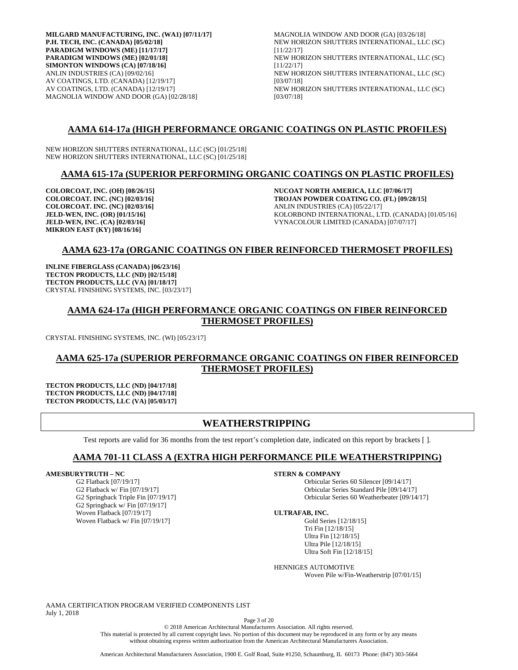**MILGARD MANUFACTURING, INC. (WA1) [07/11/17] P.H. TECH, INC. (CANADA) [05/02/18] PARADIGM WINDOWS (ME) [11/17/17] PARADIGM WINDOWS (ME) [02/01/18] SIMONTON WINDOWS (CA) [07/18/16]** ANLIN INDUSTRIES (CA) [09/02/16] AV COATINGS, LTD. (CANADA) [12/19/17] AV COATINGS, LTD. (CANADA) [12/19/17] MAGNOLIA WINDOW AND DOOR (GA) [02/28/18]

MAGNOLIA WINDOW AND DOOR (GA) [03/26/18] NEW HORIZON SHUTTERS INTERNATIONAL, LLC (SC) [11/22/17] NEW HORIZON SHUTTERS INTERNATIONAL, LLC (SC) [11/22/17] NEW HORIZON SHUTTERS INTERNATIONAL, LLC (SC) [03/07/18] NEW HORIZON SHUTTERS INTERNATIONAL, LLC (SC) [03/07/18]

# **AAMA 614-17a (HIGH PERFORMANCE ORGANIC COATINGS ON PLASTIC PROFILES)**

NEW HORIZON SHUTTERS INTERNATIONAL, LLC (SC) [01/25/18] NEW HORIZON SHUTTERS INTERNATIONAL, LLC (SC) [01/25/18]

# **AAMA 615-17a (SUPERIOR PERFORMING ORGANIC COATINGS ON PLASTIC PROFILES)**

**COLORCOAT, INC. (OH) [08/26/15] COLORCOAT. INC. (NC) [02/03/16] COLORCOAT. INC. (NC) [02/03/16] JELD-WEN, INC. (OR) [01/15/16] JELD-WEN, INC. (CA) [02/03/16] MIKRON EAST (KY) [08/16/16]**

**NUCOAT NORTH AMERICA, LLC [07/06/17] TROJAN POWDER COATING CO. (FL) [09/28/15]** ANLIN INDUSTRIES (CA) [05/22/17] KOLORBOND INTERNATIONAL, LTD. (CANADA) [01/05/16] VYNACOLOUR LIMITED (CANADA) [07/07/17]

# **AAMA 623-17a (ORGANIC COATINGS ON FIBER REINFORCED THERMOSET PROFILES)**

**INLINE FIBERGLASS (CANADA) [06/23/16] TECTON PRODUCTS, LLC (ND) [02/15/18] TECTON PRODUCTS, LLC (VA) [01/18/17]** CRYSTAL FINISHING SYSTEMS, INC. [03/23/17]

# **AAMA 624-17a (HIGH PERFORMANCE ORGANIC COATINGS ON FIBER REINFORCED THERMOSET PROFILES)**

CRYSTAL FINISHING SYSTEMS, INC. (WI) [05/23/17]

# **AAMA 625-17a (SUPERIOR PERFORMANCE ORGANIC COATINGS ON FIBER REINFORCED THERMOSET PROFILES)**

**TECTON PRODUCTS, LLC (ND) [04/17/18] TECTON PRODUCTS, LLC (ND) [04/17/18] TECTON PRODUCTS, LLC (VA) [05/03/17]**

# **WEATHERSTRIPPING**

Test reports are valid for 36 months from the test report's completion date, indicated on this report by brackets [ ].

# **AAMA 701-11 CLASS A (EXTRA HIGH PERFORMANCE PILE WEATHERSTRIPPING)**

# **AMESBURYTRUTH – NC**

G2 Flatback [07/19/17] G2 Flatback w/ Fin [07/19/17] G2 Springback Triple Fin [07/19/17] G2 Springback w/ Fin [07/19/17] Woven Flatback [07/19/17] Woven Flatback w/ Fin [07/19/17]

**STERN & COMPANY**

Orbicular Series 60 Silencer [09/14/17] Orbicular Series Standard Pile [09/14/17] Orbicular Series 60 Weatherbeater [09/14/17]

### **ULTRAFAB, INC.**

Gold Series [12/18/15] Tri Fin [12/18/15] Ultra Fin [12/18/15] Ultra Pile [12/18/15] Ultra Soft Fin [12/18/15]

HENNIGES AUTOMOTIVE

Woven Pile w/Fin-Weatherstrip [07/01/15]

AAMA CERTIFICATION PROGRAM VERIFIED COMPONENTS LIST July 1, 2018

Page 3 of 20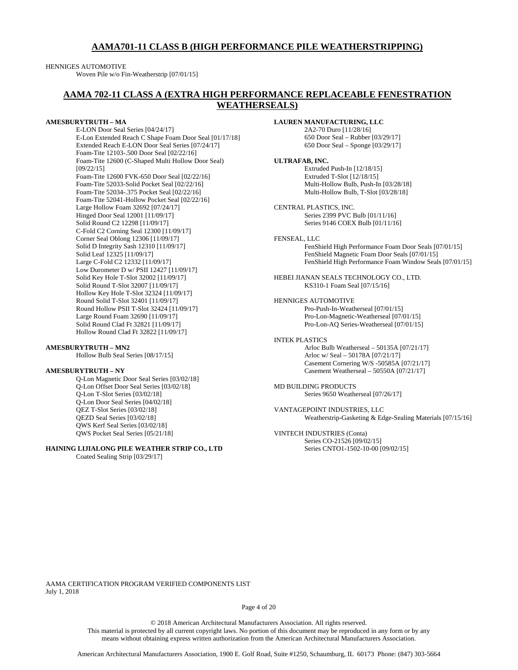# **AAMA701-11 CLASS B (HIGH PERFORMANCE PILE WEATHERSTRIPPING)**

### HENNIGES AUTOMOTIVE

Woven Pile w/o Fin-Weatherstrip [07/01/15]

# **AAMA 702-11 CLASS A (EXTRA HIGH PERFORMANCE REPLACEABLE FENESTRATION WEATHERSEALS)**

### **AMESBURYTRUTH – MA**

E-LON Door Seal Series [04/24/17] E-Lon Extended Reach C Shape Foam Door Seal [01/17/18] Extended Reach E-LON Door Seal Series [07/24/17] Foam-Tite 12103-.500 Door Seal [02/22/16] Foam-Tite 12600 (C-Shaped Multi Hollow Door Seal) [09/22/15] Foam-Tite 12600 FVK-650 Door Seal [02/22/16] Foam-Tite 52033-Solid Pocket Seal [02/22/16] Foam-Tite 52034-.375 Pocket Seal [02/22/16] Foam-Tite 52041-Hollow Pocket Seal [02/22/16] Large Hollow Foam 32692 [07/24/17] Hinged Door Seal 12001 [11/09/17] Solid Round C2 12298 [11/09/17] C-Fold C2 Corning Seal 12300 [11/09/17] Corner Seal Oblong 12306 [11/09/17] Solid D Integrity Sash 12310 [11/09/17] Solid Leaf 12325 [11/09/17] Large C-Fold C2 12332 [11/09/17] Low Durometer D w/ PSII 12427 [11/09/17] Solid Key Hole T-Slot 32002 [11/09/17] Solid Round T-Slot 32007 [11/09/17] Hollow Key Hole T-Slot 32324 [11/09/17] Round Solid T-Slot 32401 [11/09/17] Round Hollow PSII T-Slot 32424 [11/09/17] Large Round Foam 32690 [11/09/17] Solid Round Clad Ft 32821 [11/09/17] Hollow Round Clad Ft 32822 [11/09/17]

#### **AMESBURYTRUTH – MN2**

Hollow Bulb Seal Series [08/17/15]

### **AMESBURYTRUTH – NY**

Q-Lon Magnetic Door Seal Series [03/02/18] Q-Lon Offset Door Seal Series [03/02/18] Q-Lon T-Slot Series [03/02/18] Q-Lon Door Seal Series [04/02/18] QEZ T-Slot Series [03/02/18] QEZD Seal Series [03/02/18] QWS Kerf Seal Series [03/02/18] QWS Pocket Seal Series [05/21/18]

### **HAINING LIJIALONG PILE WEATHER STRIP CO., LTD** Coated Sealing Strip [03/29/17]

**LAUREN MANUFACTURING, LLC** 2A2-70 Duro [11/28/16] 650 Door Seal – Rubber [03/29/17] 650 Door Seal – Sponge [03/29/17] **ULTRAFAB, INC.** Extruded Push-In [12/18/15] Extruded T-Slot [12/18/15] Multi-Hollow Bulb, Push-In [03/28/18] Multi-Hollow Bulb, T-Slot [03/28/18] CENTRAL PLASTICS, INC. Series 2399 PVC Bulb [01/11/16] Series 9146 COEX Bulb [01/11/16] FENSEAL, LLC FenShield High Performance Foam Door Seals [07/01/15] FenShield Magnetic Foam Door Seals [07/01/15] FenShield High Performance Foam Window Seals [07/01/15]

HEBEI JIANAN SEALS TECHNOLOGY CO., LTD. KS310-1 Foam Seal [07/15/16]

HENNIGES AUTOMOTIVE Pro-Push-In-Weatherseal [07/01/15] Pro-Lon-Magnetic-Weatherseal [07/01/15] Pro-Lon-AQ Series-Weatherseal [07/01/15]

# INTEK PLASTICS

Arloc Bulb Weatherseal – 50135A [07/21/17] Arloc w/ Seal – 50178A [07/21/17] Casement Cornering W/S -50585A [07/21/17] Casement Weatherseal – 50550A [07/21/17]

MD BUILDING PRODUCTS Series 9650 Weatherseal [07/26/17]

VANTAGEPOINT INDUSTRIES, LLC Weatherstrip-Gasketing & Edge-Sealing Materials [07/15/16]

### VINTECH INDUSTRIES (Conta) Series CO-21526 [09/02/15]

Series CNTO1-1502-10-00 [09/02/15]

AAMA CERTIFICATION PROGRAM VERIFIED COMPONENTS LIST July 1, 2018

Page 4 of 20

© 2018 American Architectural Manufacturers Association. All rights reserved.

This material is protected by all current copyright laws. No portion of this document may be reproduced in any form or by any means without obtaining express written authorization from the American Architectural Manufacturers Association.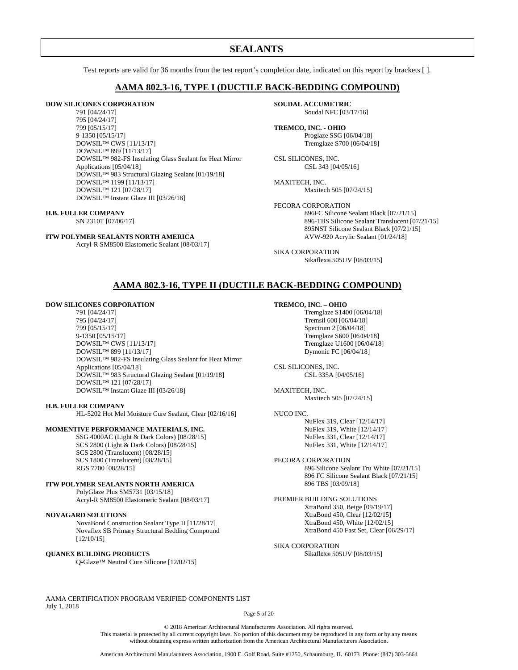# **SEALANTS**

Test reports are valid for 36 months from the test report's completion date, indicated on this report by brackets [ ].

# **AAMA 802.3-16, TYPE I (DUCTILE BACK-BEDDING COMPOUND)**

### **DOW SILICONES CORPORATION**

791 [04/24/17] 795 [04/24/17] 799 [05/15/17] 9-1350 [05/15/17] DOWSIL™ CWS [11/13/17] DOWSIL™ 899 [11/13/17] DOWSIL™ 982-FS Insulating Glass Sealant for Heat Mirror Applications [05/04/18] DOWSIL™ 983 Structural Glazing Sealant [01/19/18] DOWSIL™ 1199 [11/13/17] DOWSIL™ 121 [07/28/17] DOWSIL™ Instant Glaze III [03/26/18]

### **H.B. FULLER COMPANY**

SN 2310T [07/06/17]

# **ITW POLYMER SEALANTS NORTH AMERICA**

Acryl-R SM8500 Elastomeric Sealant [08/03/17]

**SOUDAL ACCUMETRIC** Soudal NFC [03/17/16]

**TREMCO, INC. - OHIO** Proglaze SSG [06/04/18] Tremglaze S700 [06/04/18]

CSL SILICONES, INC. CSL 343 [04/05/16]

MAXITECH, INC. Maxitech 505 [07/24/15]

PECORA CORPORATION 896FC Silicone Sealant Black [07/21/15] 896-TBS Silicone Sealant Translucent [07/21/15] 895NST Silicone Sealant Black [07/21/15] AVW-920 Acrylic Sealant [01/24/18]

SIKA CORPORATION Sikaflex® 505UV [08/03/15]

# **AAMA 802.3-16, TYPE II (DUCTILE BACK-BEDDING COMPOUND)**

### **DOW SILICONES CORPORATION**

791 [04/24/17] 795 [04/24/17] 799 [05/15/17] 9-1350 [05/15/17] DOWSIL™ CWS [11/13/17] DOWSIL™ 899 [11/13/17] DOWSIL™ 982-FS Insulating Glass Sealant for Heat Mirror Applications [05/04/18] DOWSIL™ 983 Structural Glazing Sealant [01/19/18] DOWSIL™ 121 [07/28/17] DOWSIL™ Instant Glaze III [03/26/18]

#### **H.B. FULLER COMPANY**

HL-5202 Hot Mel Moisture Cure Sealant, Clear [02/16/16]

### **MOMENTIVE PERFORMANCE MATERIALS, INC.**

SSG 4000AC (Light & Dark Colors) [08/28/15] SCS 2800 (Light & Dark Colors) [08/28/15] SCS 2800 (Translucent) [08/28/15] SCS 1800 (Translucent) [08/28/15] RGS 7700 [08/28/15]

### **ITW POLYMER SEALANTS NORTH AMERICA**

PolyGlaze Plus SM5731 [03/15/18] Acryl-R SM8500 Elastomeric Sealant [08/03/17]

#### **NOVAGARD SOLUTIONS**

NovaBond Construction Sealant Type II [11/28/17] Novaflex SB Primary Structural Bedding Compound [12/10/15]

### **QUANEX BUILDING PRODUCTS**

Q-Glaze™ Neutral Cure Silicone [12/02/15]

#### **TREMCO, INC. – OHIO**

Tremglaze S1400 [06/04/18] Tremsil 600 [06/04/18] Spectrum 2 [06/04/18] Tremglaze S600 [06/04/18] Tremglaze U1600 [06/04/18] Dymonic FC [06/04/18]

CSL SILICONES, INC. CSL 335A [04/05/16]

MAXITECH, INC. Maxitech 505 [07/24/15]

#### NUCO INC.

NuFlex 319, Clear [12/14/17] NuFlex 319, White [12/14/17] NuFlex 331, Clear [12/14/17] NuFlex 331, White [12/14/17]

PECORA CORPORATION 896 Silicone Sealant Tru White [07/21/15] 896 FC Silicone Sealant Black [07/21/15] 896 TBS [03/09/18]

PREMIER BUILDING SOLUTIONS XtraBond 350, Beige [09/19/17] XtraBond 450, Clear [12/02/15] XtraBond 450, White [12/02/15] XtraBond 450 Fast Set, Clear [06/29/17]

SIKA CORPORATION

Sikaflex® 505UV [08/03/15]

AAMA CERTIFICATION PROGRAM VERIFIED COMPONENTS LIST July 1, 2018

Page 5 of 20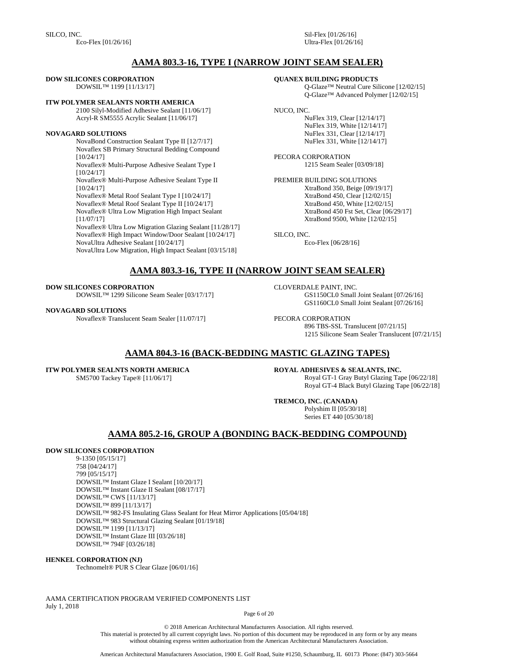SILCO, INC. Eco-Flex [01/26/16] Sil-Flex [01/26/16] Ultra-Flex [01/26/16]

# **AAMA 803.3-16, TYPE I (NARROW JOINT SEAM SEALER)**

### **DOW SILICONES CORPORATION**

DOWSIL™ 1199 [11/13/17]

### **ITW POLYMER SEALANTS NORTH AMERICA**

2100 Silyl-Modified Adhesive Sealant [11/06/17] Acryl-R SM5555 Acrylic Sealant [11/06/17]

### **NOVAGARD SOLUTIONS**

NovaBond Construction Sealant Type II [12/7/17] Novaflex SB Primary Structural Bedding Compound [10/24/17] Novaflex® Multi-Purpose Adhesive Sealant Type I [10/24/17] Novaflex® Multi-Purpose Adhesive Sealant Type II [10/24/17] Novaflex® Metal Roof Sealant Type I [10/24/17] Novaflex® Metal Roof Sealant Type II [10/24/17] Novaflex® Ultra Low Migration High Impact Sealant [11/07/17] Novaflex® Ultra Low Migration Glazing Sealant [11/28/17] Novaflex® High Impact Window/Door Sealant [10/24/17] NovaUltra Adhesive Sealant [10/24/17] NovaUltra Low Migration, High Impact Sealant [03/15/18]

### **QUANEX BUILDING PRODUCTS**

Q-Glaze™ Neutral Cure Silicone [12/02/15] Q-Glaze™ Advanced Polymer [12/02/15]

## NUCO, INC.

NuFlex 319, Clear [12/14/17] NuFlex 319, White [12/14/17] NuFlex 331, Clear [12/14/17] NuFlex 331, White [12/14/17]

PECORA CORPORATION 1215 Seam Sealer [03/09/18]

PREMIER BUILDING SOLUTIONS XtraBond 350, Beige [09/19/17] XtraBond 450, Clear [12/02/15] XtraBond 450, White [12/02/15] XtraBond 450 Fst Set, Clear [06/29/17] XtraBond 9500, White [12/02/15]

SILCO, INC. Eco-Flex [06/28/16]

# **AAMA 803.3-16, TYPE II (NARROW JOINT SEAM SEALER)**

**DOW SILICONES CORPORATION** 

DOWSIL™ 1299 Silicone Seam Sealer [03/17/17]

### **NOVAGARD SOLUTIONS**

Novaflex® Translucent Seam Sealer [11/07/17]

CLOVERDALE PAINT, INC. GS1150CL0 Small Joint Sealant [07/26/16] GS1160CL0 Small Joint Sealant [07/26/16]

PECORA CORPORATION 896 TBS-SSL Translucent [07/21/15] 1215 Silicone Seam Sealer Translucent [07/21/15]

# **AAMA 804.3-16 (BACK-BEDDING MASTIC GLAZING TAPES)**

**ITW POLYMER SEALNTS NORTH AMERICA** SM5700 Tackey Tape® [11/06/17]

**ROYAL ADHESIVES & SEALANTS, INC.** Royal GT-1 Gray Butyl Glazing Tape [06/22/18] Royal GT-4 Black Butyl Glazing Tape [06/22/18]

**TREMCO, INC. (CANADA)**

Polyshim II [05/30/18] Series ET 440 [05/30/18]

# **AAMA 805.2-16, GROUP A (BONDING BACK-BEDDING COMPOUND)**

### **DOW SILICONES CORPORATION**

9-1350 [05/15/17] 758 [04/24/17] 799 [05/15/17] DOWSIL™ Instant Glaze I Sealant [10/20/17] DOWSIL™ Instant Glaze II Sealant [08/17/17] DOWSIL™ CWS [11/13/17] DOWSIL™ 899 [11/13/17] DOWSIL™ 982-FS Insulating Glass Sealant for Heat Mirror Applications [05/04/18] DOWSIL™ 983 Structural Glazing Sealant [01/19/18] DOWSIL™ 1199 [11/13/17] DOWSIL™ Instant Glaze III [03/26/18] DOWSIL™ 794F [03/26/18]

### **HENKEL CORPORATION (NJ)**

Technomelt® PUR S Clear Glaze [06/01/16]

AAMA CERTIFICATION PROGRAM VERIFIED COMPONENTS LIST July 1, 2018

Page 6 of 20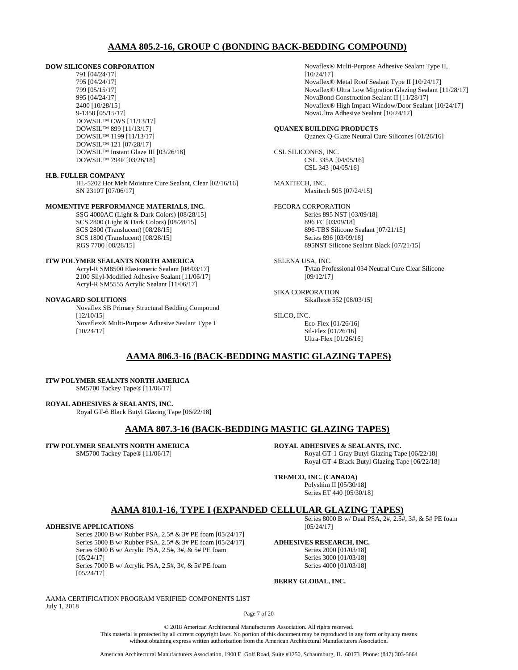# **AAMA 805.2-16, GROUP C (BONDING BACK-BEDDING COMPOUND)**

### **DOW SILICONES CORPORATION**

791 [04/24/17] 795 [04/24/17] 799 [05/15/17] 995 [04/24/17] 2400 [10/28/15] 9-1350 [05/15/17] DOWSIL™ CWS [11/13/17] DOWSIL™ 899 [11/13/17] DOWSIL™ 1199 [11/13/17] DOWSIL™ 121 [07/28/17] DOWSIL™ Instant Glaze III [03/26/18] DOWSIL™ 794F [03/26/18]

### **H.B. FULLER COMPANY**

HL-5202 Hot Melt Moisture Cure Sealant, Clear [02/16/16] SN 2310T [07/06/17]

## **MOMENTIVE PERFORMANCE MATERIALS, INC.**

SSG 4000AC (Light & Dark Colors) [08/28/15] SCS 2800 (Light & Dark Colors) [08/28/15] SCS 2800 (Translucent) [08/28/15] SCS 1800 (Translucent) [08/28/15] RGS 7700 [08/28/15]

# **ITW POLYMER SEALANTS NORTH AMERICA**

Acryl-R SM8500 Elastomeric Sealant [08/03/17] 2100 Silyl-Modified Adhesive Sealant [11/06/17] Acryl-R SM5555 Acrylic Sealant [11/06/17]

### **NOVAGARD SOLUTIONS**

Novaflex SB Primary Structural Bedding Compound [12/10/15] Novaflex® Multi-Purpose Adhesive Sealant Type I [10/24/17]

Novaflex® Multi-Purpose Adhesive Sealant Type II, [10/24/17] Novaflex® Metal Roof Sealant Type II [10/24/17] Novaflex® Ultra Low Migration Glazing Sealant [11/28/17] NovaBond Construction Sealant II [11/28/17] Novaflex® High Impact Window/Door Sealant [10/24/17] NovaUltra Adhesive Sealant [10/24/17]

#### **QUANEX BUILDING PRODUCTS** Quanex Q-Glaze Neutral Cure Silicones [01/26/16]

CSL SILICONES, INC. CSL 335A [04/05/16] CSL 343 [04/05/16]

MAXITECH, INC. Maxitech 505 [07/24/15]

PECORA CORPORATION Series 895 NST [03/09/18] 896 FC [03/09/18] 896-TBS Silicone Sealant [07/21/15] Series 896 [03/09/18] 895NST Silicone Sealant Black [07/21/15]

SELENA USA, INC. Tytan Professional 034 Neutral Cure Clear Silicone [09/12/17]

SIKA CORPORATION Sikaflex® 552 [08/03/15]

### SILCO, INC.

Eco-Flex [01/26/16] Sil-Flex [01/26/16] Ultra-Flex [01/26/16]

# **AAMA 806.3-16 (BACK-BEDDING MASTIC GLAZING TAPES)**

#### **ITW POLYMER SEALNTS NORTH AMERICA** SM5700 Tackey Tape® [11/06/17]

# **ROYAL ADHESIVES & SEALANTS, INC.**

Royal GT-6 Black Butyl Glazing Tape [06/22/18]

# **AAMA 807.3-16 (BACK-BEDDING MASTIC GLAZING TAPES)**

**ITW POLYMER SEALNTS NORTH AMERICA**

SM5700 Tackey Tape® [11/06/17]

**ROYAL ADHESIVES & SEALANTS, INC.**

Royal GT-1 Gray Butyl Glazing Tape [06/22/18] Royal GT-4 Black Butyl Glazing Tape [06/22/18]

### **TREMCO, INC. (CANADA)**

Polyshim II [05/30/18] Series ET 440 [05/30/18]

# **AAMA 810.1-16, TYPE I (EXPANDED CELLULAR GLAZING TAPES)**

### **ADHESIVE APPLICATIONS**

Series 2000 B w/ Rubber PSA, 2.5# & 3# PE foam [05/24/17] Series 5000 B w/ Rubber PSA, 2.5# & 3# PE foam [05/24/17] Series 6000 B w/ Acrylic PSA, 2.5#, 3#, & 5# PE foam [05/24/17] Series 7000 B w/ Acrylic PSA, 2.5#, 3#, & 5# PE foam [05/24/17]

Series 8000 B w/ Dual PSA, 2#, 2.5#, 3#, & 5# PE foam [05/24/17]

### **ADHESIVES RESEARCH, INC.**

Series 2000 [01/03/18] Series 3000 [01/03/18] Series 4000 [01/03/18]

## **BERRY GLOBAL, INC.**

AAMA CERTIFICATION PROGRAM VERIFIED COMPONENTS LIST July 1, 2018

Page 7 of 20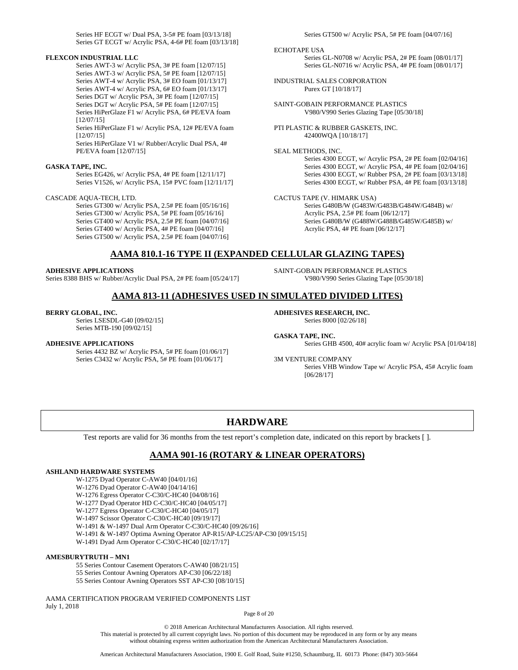Series HF ECGT w/ Dual PSA, 3-5# PE foam [03/13/18] Series GT ECGT w/ Acrylic PSA, 4-6# PE foam [03/13/18]

#### **FLEXCON INDUSTRIAL LLC**

Series AWT-3 w/ Acrylic PSA, 3# PE foam [12/07/15] Series AWT-3 w/ Acrylic PSA, 5# PE foam [12/07/15] Series AWT-4 w/ Acrylic PSA, 3# EO foam [01/13/17] Series AWT-4 w/ Acrylic PSA, 6# EO foam [01/13/17] Series DGT w/ Acrylic PSA, 3# PE foam [12/07/15] Series DGT w/ Acrylic PSA, 5# PE foam [12/07/15] Series HiPerGlaze F1 w/ Acrylic PSA, 6# PE/EVA foam [12/07/15]

Series HiPerGlaze F1 w/ Acrylic PSA, 12# PE/EVA foam [12/07/15]

Series HiPerGlaze V1 w/ Rubber/Acrylic Dual PSA, 4# PE/EVA foam [12/07/15]

### **GASKA TAPE, INC.**

Series EG426, w/ Acrylic PSA, 4# PE foam [12/11/17] Series V1526, w/ Acrylic PSA, 15# PVC foam [12/11/17]

CASCADE AQUA-TECH, LTD.

Series GT300 w/ Acrylic PSA, 2.5# PE foam [05/16/16] Series GT300 w/ Acrylic PSA, 5# PE foam [05/16/16] Series GT400 w/ Acrylic PSA, 2.5# PE foam [04/07/16] Series GT400 w/ Acrylic PSA, 4# PE foam [04/07/16] Series GT500 w/ Acrylic PSA, 2.5# PE foam [04/07/16]

#### Series GT500 w/ Acrylic PSA, 5# PE foam [04/07/16]

#### ECHOTAPE USA

Series GL-N0708 w/ Acrylic PSA, 2# PE foam [08/01/17] Series GL-N0716 w/ Acrylic PSA, 4# PE foam [08/01/17]

INDUSTRIAL SALES CORPORATION Purex GT [10/18/17]

SAINT-GOBAIN PERFORMANCE PLASTICS V980/V990 Series Glazing Tape [05/30/18]

PTI PLASTIC & RUBBER GASKETS, INC. 42400WQA [10/18/17]

SEAL METHODS, INC.

Series 4300 ECGT, w/ Acrylic PSA, 2# PE foam [02/04/16] Series 4300 ECGT, w/ Acrylic PSA, 4# PE foam [02/04/16] Series 4300 ECGT, w/ Rubber PSA, 2# PE foam [03/13/18] Series 4300 ECGT, w/ Rubber PSA, 4# PE foam [03/13/18]

CACTUS TAPE (V. HIMARK USA)

Series G480B/W (G483W/G483B/G484W/G484B) w/ Acrylic PSA, 2.5# PE foam [06/12/17] Series G480B/W (G488W/G488B/G485W/G485B) w/ Acrylic PSA, 4# PE foam [06/12/17]

# **AAMA 810.1-16 TYPE II (EXPANDED CELLULAR GLAZING TAPES)**

#### **ADHESIVE APPLICATIONS**

Series 8388 BHS w/ Rubber/Acrylic Dual PSA, 2# PE foam [05/24/17]

SAINT-GOBAIN PERFORMANCE PLASTICS V980/V990 Series Glazing Tape [05/30/18]

# **AAMA 813-11 (ADHESIVES USED IN SIMULATED DIVIDED LITES)**

#### **BERRY GLOBAL, INC.**

Series LSESDL-G40 [09/02/15] Series MTB-190 [09/02/15]

#### **ADHESIVE APPLICATIONS**

Series 4432 BZ w/ Acrylic PSA, 5# PE foam [01/06/17] Series C3432 w/ Acrylic PSA, 5# PE foam [01/06/17]

# **ADHESIVES RESEARCH, INC.**

Series 8000 [02/26/18]

**GASKA TAPE, INC.** Series GHB 4500, 40# acrylic foam w/ Acrylic PSA [01/04/18]

3M VENTURE COMPANY

Series VHB Window Tape w/ Acrylic PSA, 45# Acrylic foam [06/28/17]

# **HARDWARE**

Test reports are valid for 36 months from the test report's completion date, indicated on this report by brackets [ ].

# **AAMA 901-16 (ROTARY & LINEAR OPERATORS)**

#### **ASHLAND HARDWARE SYSTEMS**

W-1275 Dyad Operator C-AW40 [04/01/16]

- W-1276 Dyad Operator C-AW40 [04/14/16]
- W-1276 Egress Operator C-C30/C-HC40 [04/08/16]
- W-1277 Dyad Operator HD C-C30/C-HC40 [04/05/17]

W-1277 Egress Operator C-C30/C-HC40 [04/05/17]

- W-1497 Scissor Operator C-C30/C-HC40 [09/19/17]
- W-1491 & W-1497 Dual Arm Operator C-C30/C-HC40 [09/26/16]

W-1491 & W-1497 Optima Awning Operator AP-R15/AP-LC25/AP-C30 [09/15/15]

W-1491 Dyad Arm Operator C-C30/C-HC40 [02/17/17]

### **AMESBURYTRUTH – MN1**

55 Series Contour Casement Operators C-AW40 [08/21/15]

55 Series Contour Awning Operators AP-C30 [06/22/18]

55 Series Contour Awning Operators SST AP-C30 [08/10/15]

AAMA CERTIFICATION PROGRAM VERIFIED COMPONENTS LIST July 1, 2018

Page 8 of 20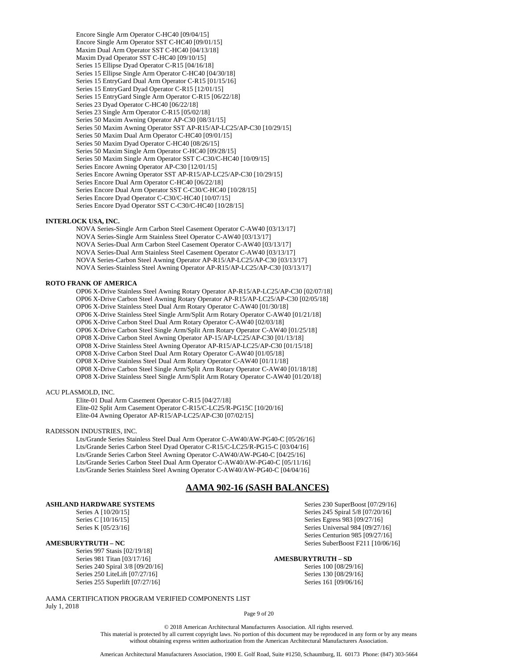Encore Single Arm Operator C-HC40 [09/04/15] Encore Single Arm Operator SST C-HC40 [09/01/15] Maxim Dual Arm Operator SST C-HC40 [04/13/18] Maxim Dyad Operator SST C-HC40 [09/10/15] Series 15 Ellipse Dyad Operator C-R15 [04/16/18] Series 15 Ellipse Single Arm Operator C-HC40 [04/30/18] Series 15 EntryGard Dual Arm Operator C-R15 [01/15/16] Series 15 EntryGard Dyad Operator C-R15 [12/01/15] Series 15 EntryGard Single Arm Operator C-R15 [06/22/18] Series 23 Dyad Operator C-HC40 [06/22/18] Series 23 Single Arm Operator C-R15 [05/02/18] Series 50 Maxim Awning Operator AP-C30 [08/31/15] Series 50 Maxim Awning Operator SST AP-R15/AP-LC25/AP-C30 [10/29/15] Series 50 Maxim Dual Arm Operator C-HC40 [09/01/15] Series 50 Maxim Dyad Operator C-HC40 [08/26/15] Series 50 Maxim Single Arm Operator C-HC40 [09/28/15] Series 50 Maxim Single Arm Operator SST C-C30/C-HC40 [10/09/15] Series Encore Awning Operator AP-C30 [12/01/15] Series Encore Awning Operator SST AP-R15/AP-LC25/AP-C30 [10/29/15] Series Encore Dual Arm Operator C-HC40 [06/22/18] Series Encore Dual Arm Operator SST C-C30/C-HC40 [10/28/15] Series Encore Dyad Operator C-C30/C-HC40 [10/07/15] Series Encore Dyad Operator SST C-C30/C-HC40 [10/28/15]

### **INTERLOCK USA, INC.**

NOVA Series-Single Arm Carbon Steel Casement Operator C-AW40 [03/13/17] NOVA Series-Single Arm Stainless Steel Operator C-AW40 [03/13/17] NOVA Series-Dual Arm Carbon Steel Casement Operator C-AW40 [03/13/17] NOVA Series-Dual Arm Stainless Steel Casement Operator C-AW40 [03/13/17] NOVA Series-Carbon Steel Awning Operator AP-R15/AP-LC25/AP-C30 [03/13/17] NOVA Series-Stainless Steel Awning Operator AP-R15/AP-LC25/AP-C30 [03/13/17]

#### **ROTO FRANK OF AMERICA**

OP06 X-Drive Stainless Steel Awning Rotary Operator AP-R15/AP-LC25/AP-C30 [02/07/18] OP06 X-Drive Carbon Steel Awning Rotary Operator AP-R15/AP-LC25/AP-C30 [02/05/18] OP06 X-Drive Stainless Steel Dual Arm Rotary Operator C-AW40 [01/30/18] OP06 X-Drive Stainless Steel Single Arm/Split Arm Rotary Operator C-AW40 [01/21/18] OP06 X-Drive Carbon Steel Dual Arm Rotary Operator C-AW40 [02/03/18] OP06 X-Drive Carbon Steel Single Arm/Split Arm Rotary Operator C-AW40 [01/25/18] OP08 X-Drive Carbon Steel Awning Operator AP-15/AP-LC25/AP-C30 [01/13/18] OP08 X-Drive Stainless Steel Awning Operator AP-R15/AP-LC25/AP-C30 [01/15/18] OP08 X-Drive Carbon Steel Dual Arm Rotary Operator C-AW40 [01/05/18] OP08 X-Drive Stainless Steel Dual Arm Rotary Operator C-AW40 [01/11/18] OP08 X-Drive Carbon Steel Single Arm/Split Arm Rotary Operator C-AW40 [01/18/18] OP08 X-Drive Stainless Steel Single Arm/Split Arm Rotary Operator C-AW40 [01/20/18]

#### ACU PLASMOLD, INC.

Elite-01 Dual Arm Casement Operator C-R15 [04/27/18] Elite-02 Split Arm Casement Operator C-R15/C-LC25/R-PG15C [10/20/16] Elite-04 Awning Operator AP-R15/AP-LC25/AP-C30 [07/02/15]

#### RADISSON INDUSTRIES, INC.

Lts/Grande Series Stainless Steel Dual Arm Operator C-AW40/AW-PG40-C [05/26/16] Lts/Grande Series Carbon Steel Dyad Operator C-R15/C-LC25/R-PG15-C [03/04/16] Lts/Grande Series Carbon Steel Awning Operator C-AW40/AW-PG40-C [04/25/16] Lts/Grande Series Carbon Steel Dual Arm Operator C-AW40/AW-PG40-C [05/11/16] Lts/Grande Series Stainless Steel Awning Operator C-AW40/AW-PG40-C [04/04/16]

# **AAMA 902-16 (SASH BALANCES)**

### **ASHLAND HARDWARE SYSTEMS**

Series A [10/20/15]

Series C [10/16/15] Series K [05/23/16]

### **AMESBURYTRUTH – NC**

Series 997 Stasis [02/19/18] Series 981 Titan [03/17/16] Series 240 Spiral 3/8 [09/20/16] Series 250 LiteLift [07/27/16] Series 255 Superlift [07/27/16]

**AMESBURYTRUTH – SD**

Series 100 [08/29/16] Series 130 [08/29/16] Series 161 [09/06/16]

Series 230 SuperBoost [07/29/16] Series 245 Spiral 5/8 [07/20/16] Series Egress 983 [09/27/16] Series Universal 984 [09/27/16] Series Centurion 985 [09/27/16] Series SuberBoost F211 [10/06/16]

AAMA CERTIFICATION PROGRAM VERIFIED COMPONENTS LIST July 1, 2018

Page 9 of 20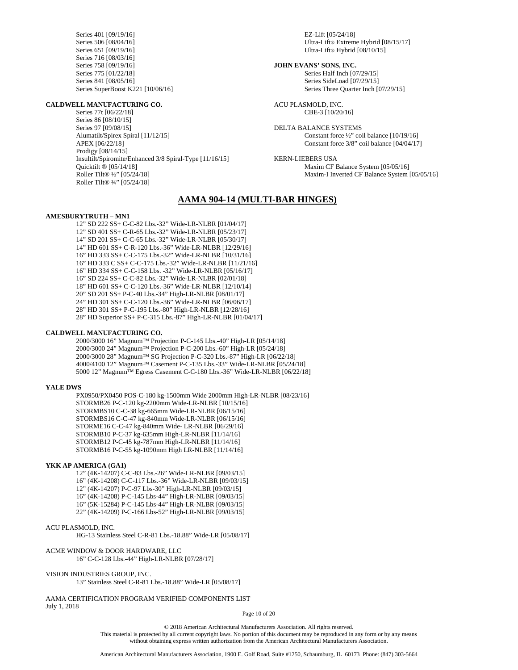Series 401 [09/19/16] Series 506 [08/04/16] Series 651 [09/19/16] Series 716 [08/03/16] Series 758 [09/19/16] Series 775 [01/22/18] Series 841 [08/05/16] Series SuperBoost K221 [10/06/16]

#### **CALDWELL MANUFACTURING CO.**

Series 77t [06/22/18] Series 86 [08/10/15] Series 97 [09/08/15] Alumatilt/Spirex Spiral [11/12/15] APEX [06/22/18] Prodigy [08/14/15] Insultilt/Spiromite/Enhanced 3/8 Spiral-Type [11/16/15] Quicktilt ® [05/14/18] Roller Tilt® ½" [05/24/18] Roller Tilt® ¾" [05/24/18]

EZ-Lift [05/24/18] Ultra-Lift® Extreme Hybrid [08/15/17] Ultra-Lift® Hybrid [08/10/15]

**JOHN EVANS' SONS, INC.** Series Half Inch [07/29/15] Series SideLoad [07/29/15] Series Three Quarter Inch [07/29/15]

ACU PLASMOLD, INC. CBE-3 [10/20/16]

DELTA BALANCE SYSTEMS Constant force ½" coil balance [10/19/16] Constant force 3/8" coil balance [04/04/17]

KERN-LIEBERS USA Maxim CF Balance System [05/05/16] Maxim-I Inverted CF Balance System [05/05/16]

# **AAMA 904-14 (MULTI-BAR HINGES)**

#### **AMESBURYTRUTH – MN1**

12" SD 222 SS+ C-C-82 Lbs.-32" Wide-LR-NLBR [01/04/17] 12" SD 401 SS+ C-R-65 Lbs.-32" Wide-LR-NLBR [05/23/17] 14" SD 201 SS+ C-C-65 Lbs.-32" Wide-LR-NLBR [05/30/17] 14" HD 601 SS+ C-R-120 Lbs.-36" Wide-LR-NLBR [12/29/16] 16" HD 333 SS+ C-C-175 Lbs.-32" Wide-LR-NLBR [10/31/16] 16" HD 333 C SS+ C-C-175 Lbs.-32" Wide-LR-NLBR [11/21/16] 16" HD 334 SS+ C-C-158 Lbs. -32" Wide-LR-NLBR [05/16/17] 16" SD 224 SS+ C-C-82 Lbs.-32" Wide-LR-NLBR [02/01/18] 18" HD 601 SS+ C-C-120 Lbs.-36" Wide-LR-NLBR [12/10/14] 20" SD 201 SS+ P-C-40 Lbs.-34" High-LR-NLBR [08/01/17] 24" HD 301 SS+ C-C-120 Lbs.-36" Wide-LR-NLBR [06/06/17] 28" HD 301 SS+ P-C-195 Lbs.-80" High-LR-NLBR [12/28/16] 28" HD Superior SS+ P-C-315 Lbs.-87" High-LR-NLBR [01/04/17]

### **CALDWELL MANUFACTURING CO.**

2000/3000 16" Magnum™ Projection P-C-145 Lbs.-40" High-LR [05/14/18] 2000/3000 24" Magnum™ Projection P-C-200 Lbs.-60" High-LR [05/24/18] 2000/3000 28" Magnum™ SG Projection P-C-320 Lbs.-87" High-LR [06/22/18] 4000/4100 12" Magnum™ Casement P-C-135 Lbs.-33" Wide-LR-NLBR [05/24/18] 5000 12" Magnum™ Egress Casement C-C-180 Lbs.-36" Wide-LR-NLBR [06/22/18]

#### **YALE DWS**

PX0950/PX0450 POS-C-180 kg-1500mm Wide 2000mm High-LR-NLBR [08/23/16] STORMB26 P-C-120 kg-2200mm Wide-LR-NLBR [10/15/16] STORMBS10 C-C-38 kg-665mm Wide-LR-NLBR [06/15/16] STORMBS16 C-C-47 kg-840mm Wide-LR-NLBR [06/15/16] STORME16 C-C-47 kg-840mm Wide- LR-NLBR [06/29/16] STORMB10 P-C-37 kg-635mm High-LR-NLBR [11/14/16] STORMB12 P-C-45 kg-787mm High-LR-NLBR [11/14/16] STORMB16 P-C-55 kg-1090mm High LR-NLBR [11/14/16]

### **YKK AP AMERICA (GA1)**

12" (4K-14207) C-C-83 Lbs.-26" Wide-LR-NLBR [09/03/15] 16" (4K-14208) C-C-117 Lbs.-36" Wide-LR-NLBR [09/03/15] 12" (4K-14207) P-C-97 Lbs-30" High-LR-NLBR [09/03/15] 16" (4K-14208) P-C-145 Lbs-44" High-LR-NLBR [09/03/15] 16" (5K-15284) P-C-145 Lbs-44" High-LR-NLBR [09/03/15] 22" (4K-14209) P-C-166 Lbs-52" High-LR-NLBR [09/03/15]

#### ACU PLASMOLD, INC.

HG-13 Stainless Steel C-R-81 Lbs.-18.88" Wide-LR [05/08/17]

ACME WINDOW & DOOR HARDWARE, LLC

16" C-C-128 Lbs.-44" High-LR-NLBR [07/28/17]

#### VISION INDUSTRIES GROUP, INC.

13" Stainless Steel C-R-81 Lbs.-18.88" Wide-LR [05/08/17]

AAMA CERTIFICATION PROGRAM VERIFIED COMPONENTS LIST July 1, 2018

Page 10 of 20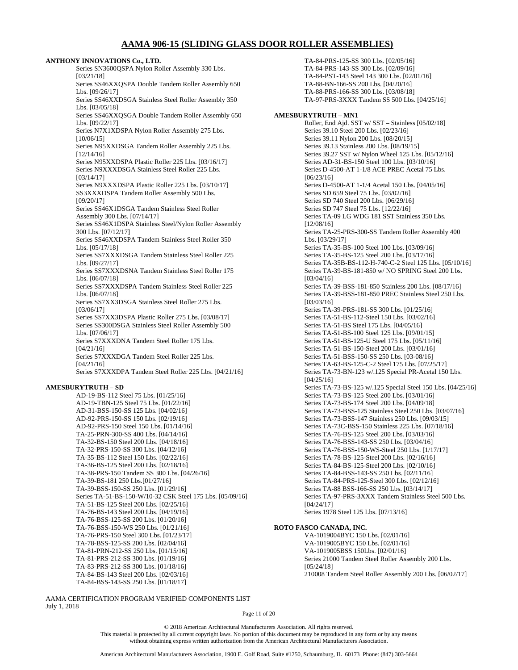# **AAMA 906-15 (SLIDING GLASS DOOR ROLLER ASSEMBLIES)**

**ANTHONY INNOVATIONS Co., LTD.** Series SN3600QSPA Nylon Roller Assembly 330 Lbs. [03/21/18] Series SS46XXQSPA Double Tandem Roller Assembly 650 Lbs. [09/26/17] Series SS46XXDSGA Stainless Steel Roller Assembly 350 Lbs. [03/05/18] Series SS46XXQSGA Double Tandem Roller Assembly 650 Lbs. [09/22/17] Series N7X1XDSPA Nylon Roller Assembly 275 Lbs. [10/06/15] Series N95XXDSGA Tandem Roller Assembly 225 Lbs. [12/14/16] Series N95XXDSPA Plastic Roller 225 Lbs. [03/16/17] Series N9XXXDSGA Stainless Steel Roller 225 Lbs. [03/14/17] Series N9XXXDSPA Plastic Roller 225 Lbs. [03/10/17] SS3XXXDSPA Tandem Roller Assembly 500 Lbs. [09/20/17] Series SS46X1DSGA Tandem Stainless Steel Roller Assembly 300 Lbs. [07/14/17] Series SS46X1DSPA Stainless Steel/Nylon Roller Assembly 300 Lbs. [07/12/17] Series SS46XXDSPA Tandem Stainless Steel Roller 350 Lbs. [05/17/18] Series SS7XXXDSGA Tandem Stainless Steel Roller 225 Lbs. [09/27/17] Series SS7XXXDSNA Tandem Stainless Steel Roller 175 Lbs. [06/07/18] Series SS7XXXDSPA Tandem Stainless Steel Roller 225 Lbs. [06/07/18] Series SS7XX3DSGA Stainless Steel Roller 275 Lbs. [03/06/17] Series SS7XX3DSPA Plastic Roller 275 Lbs. [03/08/17] Series SS300DSGA Stainless Steel Roller Assembly 500 Lbs. [07/06/17] Series S7XXXDNA Tandem Steel Roller 175 Lbs. [04/21/16] Series S7XXXDGA Tandem Steel Roller 225 Lbs. [04/21/16] Series S7XXXDPA Tandem Steel Roller 225 Lbs. [04/21/16]

### **AMESBURYTRUTH – SD**

AD-19-BS-112 Steel 75 Lbs. [01/25/16] AD-19-TBN-125 Steel 75 Lbs. [01/22/16] AD-31-BSS-150-SS 125 Lbs. [04/02/16] AD-92-PRS-150-SS 150 Lbs. [02/19/16] AD-92-PRS-150 Steel 150 Lbs. [01/14/16] TA-25-PRN-300-SS 400 Lbs. [04/14/16] TA-32-BS-150 Steel 200 Lbs. [04/18/16] TA-32-PRS-150-SS 300 Lbs. [04/12/16] TA-35-BS-112 Steel 150 Lbs. [02/22/16] TA-36-BS-125 Steel 200 Lbs. [02/18/16] TA-38-PRS-150 Tandem SS 300 Lbs. [04/26/16] TA-39-BS-181 250 Lbs.[01/27/16] TA-39-BSS-150-SS 250 Lbs. [01/29/16] Series TA-51-BS-150-W/10-32 CSK Steel 175 Lbs. [05/09/16] TA-51-BS-125 Steel 200 Lbs. [02/25/16] TA-76-BS-143 Steel 200 Lbs. [04/19/16] TA-76-BSS-125-SS 200 Lbs. [01/20/16] TA-76-BSS-150-WS 250 Lbs. [01/21/16] TA-76-PRS-150 Steel 300 Lbs. [01/23/17] TA-78-BSS-125-SS 200 Lbs. [02/04/16] TA-81-PRN-212-SS 250 Lbs. [01/15/16] TA-81-PRS-212-SS 300 Lbs. [01/19/16] TA-83-PRS-212-SS 300 Lbs. [01/18/16] TA-84-BS-143 Steel 200 Lbs. [02/03/16] TA-84-BSS-143-SS 250 Lbs. [01/18/17]

TA-84-PRS-125-SS 300 Lbs. [02/05/16] TA-84-PRS-143-SS 300 Lbs. [02/09/16] TA-84-PST-143 Steel 143 300 Lbs. [02/01/16] TA-88-BN-166-SS 200 Lbs. [04/20/16] TA-88-PRS-166-SS 300 Lbs. [03/08/18] TA-97-PRS-3XXX Tandem SS 500 Lbs. [04/25/16] **AMESBURYTRUTH – MN1** Roller, End Ajd. SST w/ SST – Stainless [05/02/18] Series 39.10 Steel 200 Lbs. [02/23/16] Series 39.11 Nylon 200 Lbs. [08/20/15] Series 39.13 Stainless 200 Lbs. [08/19/15] Series 39.27 SST w/ Nylon Wheel 125 Lbs. [05/12/16] Series AD-31-BS-150 Steel 100 Lbs. [03/10/16] Series D-4500-AT 1-1/8 ACE PREC Acetal 75 Lbs. [06/23/16] Series D-4500-AT 1-1/4 Acetal 150 Lbs. [04/05/16] Series SD 659 Steel 75 Lbs. [03/02/16] Series SD 740 Steel 200 Lbs. [06/29/16] Series SD 747 Steel 75 Lbs. [12/22/16] Series TA-09 LG WDG 181 SST Stainless 350 Lbs. [12/08/16] Series TA-25-PRS-300-SS Tandem Roller Assembly 400 Lbs. [03/29/17] Series TA-35-BS-100 Steel 100 Lbs. [03/09/16] Series TA-35-BS-125 Steel 200 Lbs. [03/17/16] Series TA-35B-BS-112-H-740-C-2 Steel 125 Lbs. [05/10/16] Series TA-39-BS-181-850 w/ NO SPRING Steel 200 Lbs. [03/04/16] Series TA-39-BSS-181-850 Stainless 200 Lbs. [08/17/16] Series TA-39-BSS-181-850 PREC Stainless Steel 250 Lbs. [03/03/16] Series TA-39-PRS-181-SS 300 Lbs. [01/25/16] Series TA-51-BS-112-Steel 150 Lbs. [03/02/16] Series TA-51-BS Steel 175 Lbs. [04/05/16] Series TA-51-BS-100 Steel 125 Lbs. [09/01/15] Series TA-51-BS-125-U Steel 175 Lbs. [05/11/16] Series TA-51-BS-150-Steel 200 Lbs. [03/01/16] Series TA-51-BSS-150-SS 250 Lbs. [03-08/16] Series TA-63-BS-125-C-2 Steel 175 Lbs. [07/25/17] Series TA-73-BN-123 w/.125 Special PR-Acetal 150 Lbs. [04/25/16] Series TA-73-BS-125 w/.125 Special Steel 150 Lbs. [04/25/16] Series TA-73-BS-125 Steel 200 Lbs. [03/01/16] Series TA-73-BS-174 Steel 200 Lbs. [04/09/18] Series TA-73-BSS-125 Stainless Steel 250 Lbs. [03/07/16] Series TA-73-BSS-147 Stainless 250 Lbs. [09/03/15] Series TA-73C-BSS-150 Stainless 225 Lbs. [07/18/16] Series TA-76-BS-125 Steel 200 Lbs. [03/03/16] Series TA-76-BSS-143-SS 250 Lbs. [03/04/16] Series TA-76-BSS-150-WS-Steel 250 Lbs. [1/17/17] Series TA-78-BS-125-Steel 200 Lbs. [02/16/16] Series TA-84-BS-125-Steel 200 Lbs. [02/10/16] Series TA-84-BSS-143-SS 250 Lbs. [02/11/16] Series TA-84-PRS-125-Steel 300 Lbs. [02/12/16] Series TA-88 BSS-166-SS 250 Lbs. [03/14/17] Series TA-97-PRS-3XXX Tandem Stainless Steel 500 Lbs. [04/24/17] Series 1978 Steel 125 Lbs. [07/13/16]

### **ROTO FASCO CANADA, INC.**

VA-1019004BYC 150 Lbs. [02/01/16] VA-1019005BYC 150 Lbs. [02/01/16] VA-1019005BSS 150Lbs. [02/01/16] Series 21000 Tandem Steel Roller Assembly 200 Lbs. [05/24/18] 210008 Tandem Steel Roller Assembly 200 Lbs. [06/02/17]

AAMA CERTIFICATION PROGRAM VERIFIED COMPONENTS LIST July 1, 2018

Page 11 of 20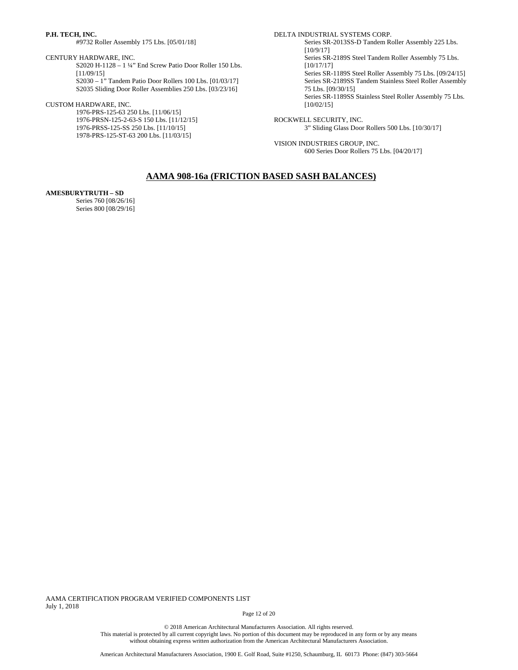### **P.H. TECH, INC.**

#9732 Roller Assembly 175 Lbs. [05/01/18]

CENTURY HARDWARE, INC.

S2020 H-1128 – 1 ¼" End Screw Patio Door Roller 150 Lbs. [11/09/15] S2030 – 1" Tandem Patio Door Rollers 100 Lbs. [01/03/17]

S2035 Sliding Door Roller Assemblies 250 Lbs. [03/23/16]

### CUSTOM HARDWARE, INC.

1976-PRS-125-63 250 Lbs. [11/06/15] 1976-PRSN-125-2-63-S 150 Lbs. [11/12/15] 1976-PRSS-125-SS 250 Lbs. [11/10/15] 1978-PRS-125-ST-63 200 Lbs. [11/03/15]

#### DELTA INDUSTRIAL SYSTEMS CORP.

Series SR-2013SS-D Tandem Roller Assembly 225 Lbs. [10/9/17] Series SR-2189S Steel Tandem Roller Assembly 75 Lbs. [10/17/17] Series SR-1189S Steel Roller Assembly 75 Lbs. [09/24/15] Series SR-2189SS Tandem Stainless Steel Roller Assembly 75 Lbs. [09/30/15] Series SR-1189SS Stainless Steel Roller Assembly 75 Lbs. [10/02/15]

ROCKWELL SECURITY, INC. 3" Sliding Glass Door Rollers 500 Lbs. [10/30/17]

VISION INDUSTRIES GROUP, INC. 600 Series Door Rollers 75 Lbs. [04/20/17]

# **AAMA 908-16a (FRICTION BASED SASH BALANCES)**

### **AMESBURYTRUTH – SD**

Series 760 [08/26/16] Series 800 [08/29/16]

AAMA CERTIFICATION PROGRAM VERIFIED COMPONENTS LIST July 1, 2018

Page 12 of 20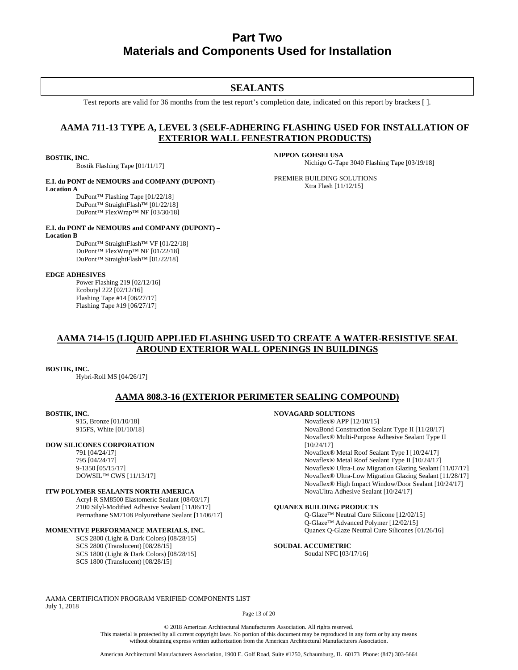# **Part Two Materials and Components Used for Installation**

# **SEALANTS**

Test reports are valid for 36 months from the test report's completion date, indicated on this report by brackets [ ].

# **AAMA 711-13 TYPE A, LEVEL 3 (SELF-ADHERING FLASHING USED FOR INSTALLATION OF EXTERIOR WALL FENESTRATION PRODUCTS)**

### **BOSTIK, INC.**

Bostik Flashing Tape [01/11/17]

### **E.I. du PONT de NEMOURS and COMPANY (DUPONT) – Location A**

DuPont™ Flashing Tape [01/22/18] DuPont™ StraightFlash™ [01/22/18] DuPont™ FlexWrap™ NF [03/30/18]

#### **NIPPON GOHSEI USA** Nichigo G-Tape 3040 Flashing Tape [03/19/18]

PREMIER BUILDING SOLUTIONS Xtra Flash [11/12/15]

#### **E.I. du PONT de NEMOURS and COMPANY (DUPONT) – Location B**

DuPont™ StraightFlash™ VF [01/22/18] DuPont™ FlexWrap™ NF [01/22/18] DuPont™ StraightFlash™ [01/22/18]

### **EDGE ADHESIVES**

Power Flashing 219 [02/12/16] Ecobutyl 222 [02/12/16] Flashing Tape #14 [06/27/17] Flashing Tape #19 [06/27/17]

# **AAMA 714-15 (LIQUID APPLIED FLASHING USED TO CREATE A WATER-RESISTIVE SEAL AROUND EXTERIOR WALL OPENINGS IN BUILDINGS**

### **BOSTIK, INC.**

Hybri-Roll MS [04/26/17]

# **AAMA 808.3-16 (EXTERIOR PERIMETER SEALING COMPOUND)**

## **BOSTIK, INC.**

915, Bronze [01/10/18] 915FS, White [01/10/18]

### **DOW SILICONES CORPORATION**

791 [04/24/17] 795 [04/24/17] 9-1350 [05/15/17] DOWSIL™ CWS [11/13/17]

### **ITW POLYMER SEALANTS NORTH AMERICA**

Acryl-R SM8500 Elastomeric Sealant [08/03/17] 2100 Silyl-Modified Adhesive Sealant [11/06/17] Permathane SM7108 Polyurethane Sealant [11/06/17]

## **MOMENTIVE PERFORMANCE MATERIALS, INC.**

SCS 2800 (Light & Dark Colors) [08/28/15] SCS 2800 (Translucent) [08/28/15] SCS 1800 (Light & Dark Colors) [08/28/15] SCS 1800 (Translucent) [08/28/15]

# **NOVAGARD SOLUTIONS**

Novaflex® APP [12/10/15] NovaBond Construction Sealant Type II [11/28/17] Novaflex® Multi-Purpose Adhesive Sealant Type II [10/24/17] Novaflex® Metal Roof Sealant Type I [10/24/17] Novaflex® Metal Roof Sealant Type II [10/24/17] Novaflex® Ultra-Low Migration Glazing Sealant [11/07/17] Novaflex® Ultra-Low Migration Glazing Sealant [11/28/17] Novaflex® High Impact Window/Door Sealant [10/24/17] NovaUltra Adhesive Sealant [10/24/17]

### **QUANEX BUILDING PRODUCTS**

Q-Glaze™ Neutral Cure Silicone [12/02/15] Q-Glaze™ Advanced Polymer [12/02/15] Quanex Q-Glaze Neutral Cure Silicones [01/26/16]

# **SOUDAL ACCUMETRIC**

Soudal NFC [03/17/16]

AAMA CERTIFICATION PROGRAM VERIFIED COMPONENTS LIST July 1, 2018

Page 13 of 20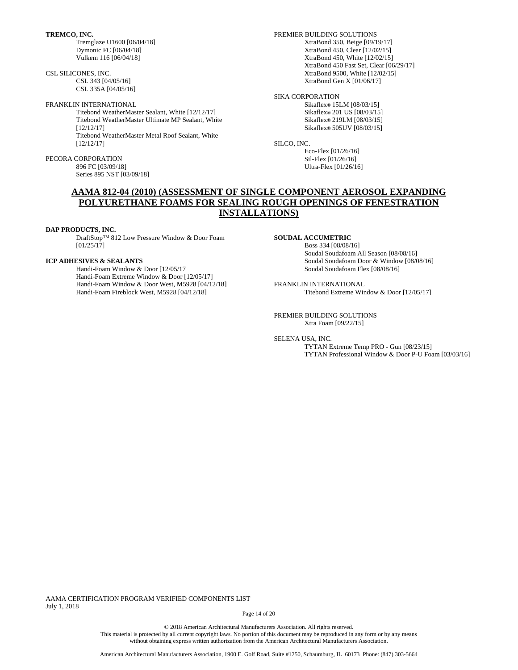**TREMCO, INC.**

Tremglaze U1600 [06/04/18] Dymonic FC [06/04/18] Vulkem 116 [06/04/18]

CSL SILICONES, INC. CSL 343 [04/05/16] CSL 335A [04/05/16]

FRANKLIN INTERNATIONAL

Titebond WeatherMaster Sealant, White [12/12/17] Titebond WeatherMaster Ultimate MP Sealant, White [12/12/17] Titebond WeatherMaster Metal Roof Sealant, White [12/12/17]

PECORA CORPORATION 896 FC [03/09/18] Series 895 NST [03/09/18] PREMIER BUILDING SOLUTIONS XtraBond 350, Beige [09/19/17] XtraBond 450, Clear [12/02/15] XtraBond 450, White [12/02/15] XtraBond 450 Fast Set, Clear [06/29/17] XtraBond 9500, White [12/02/15] XtraBond Gen X [01/06/17]

SIKA CORPORATION Sikaflex® 15LM [08/03/15] Sikaflex® 201 US [08/03/15] Sikaflex® 219LM [08/03/15] Sikaflex® 505UV [08/03/15]

SILCO, INC.

Eco-Flex [01/26/16] Sil-Flex [01/26/16] Ultra-Flex [01/26/16]

# **AAMA 812-04 (2010) (ASSESSMENT OF SINGLE COMPONENT AEROSOL EXPANDING POLYURETHANE FOAMS FOR SEALING ROUGH OPENINGS OF FENESTRATION INSTALLATIONS)**

### **DAP PRODUCTS, INC.**

DraftStop™ 812 Low Pressure Window & Door Foam  $[01/25/17]$ 

### **ICP ADHESIVES & SEALANTS**

Handi-Foam Window & Door [12/05/17 Handi-Foam Extreme Window & Door [12/05/17] Handi-Foam Window & Door West, M5928 [04/12/18] Handi-Foam Fireblock West, M5928 [04/12/18]

#### **SOUDAL ACCUMETRIC**

Boss 334 [08/08/16] Soudal Soudafoam All Season [08/08/16] Soudal Soudafoam Door & Window [08/08/16] Soudal Soudafoam Flex [08/08/16]

FRANKLIN INTERNATIONAL Titebond Extreme Window & Door [12/05/17]

PREMIER BUILDING SOLUTIONS Xtra Foam [09/22/15]

SELENA USA, INC.

TYTAN Extreme Temp PRO - Gun [08/23/15] TYTAN Professional Window & Door P-U Foam [03/03/16]

AAMA CERTIFICATION PROGRAM VERIFIED COMPONENTS LIST July 1, 2018

Page 14 of 20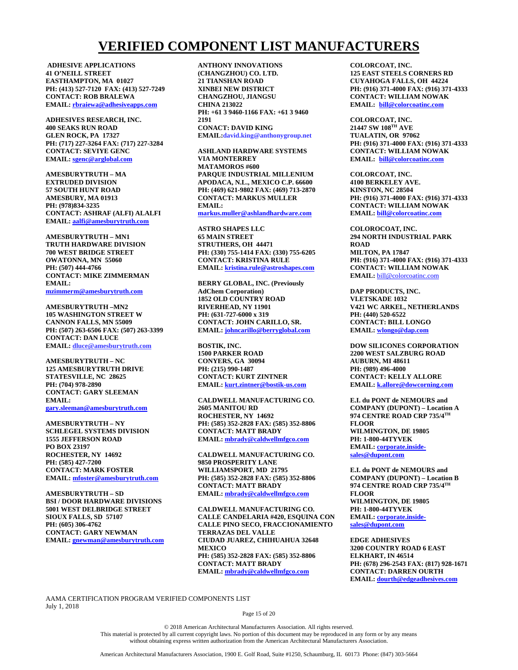# **VERIFIED COMPONENT LIST MANUFACTURERS**

**ADHESIVE APPLICATIONS 41 O'NEILL STREET EASTHAMPTON, MA 01027 PH: (413) 527-7120 FAX: (413) 527-7249 CONTACT: ROB BRALEWA EMAIL: [rbraiewa@adhesiveapps.com](mailto:rbraiewa@adhesiveapps.com)**

**ADHESIVES RESEARCH, INC. 400 SEAKS RUN ROAD GLEN ROCK, PA 17327 PH: (717) 227-3264 FAX: (717) 227-3284 CONTACT: SEVIYE GENC EMAIL: [sgenc@arglobal.com](mailto:sgenc@arglobal.com)**

**AMESBURYTRUTH – MA EXTRUDED DIVISION 57 SOUTH HUNT ROAD AMESBURY, MA 01913 PH: (978)834-3235 CONTACT: ASHRAF (ALFI) ALALFI EMAIL: [aalfi@amesburytruth.com](mailto:aalfi@amesburytruth.com)**

**AMESBURYTRUTH – MN1 TRUTH HARDWARE DIVISION 700 WEST BRIDGE STREET OWATONNA, MN 55060 PH: (507) 444-4766 CONTACT: MIKE ZIMMERMAN EMAIL: [mzimmerm@amesburytruth.com](mailto:mzimmerm@amesburytruth.com)**

**AMESBURYTRUTH –MN2 105 WASHINGTON STREET W**

**CANNON FALLS, MN 55009 PH: (507) 263-6506 FAX: (507) 263-3399 CONTACT: DAN LUCE EMAIL: dluce@amesburytruth.com**

**AMESBURYTRUTH – NC 125 AMESBURYTRUTH DRIVE STATESVILLE, NC 28625 PH: (704) 978-2890 CONTACT: GARY SLEEMAN EMAIL: [gary.sleeman@amesburytruth.com](mailto:gary.sleeman@amesburytruth.com)**

**AMESBURYTRUTH – NY SCHLEGEL SYSTEMS DIVISION 1555 JEFFERSON ROAD PO BOX 23197 ROCHESTER, NY 14692 PH: (585) 427-7200 CONTACT: MARK FOSTER EMAIL: [mfoster@amesburytruth.com](mailto:mfoster@amesburytruth.com)**

**AMESBURYTRUTH – SD BSI / DOOR HARDWARE DIVISIONS 5001 WEST DELBRIDGE STREET SIOUX FALLS, SD 57107 PH: (605) 306-4762 CONTACT: GARY NEWMAN EMAIL: [gnewman@amesburytruth.com](mailto:gnewman@amesburytruth.com)** **ANTHONY INNOVATIONS (CHANGZHOU) CO. LTD. 21 TIANSHAN ROAD XINBEI NEW DISTRICT CHANGZHOU, JIANGSU CHINA 213022 PH: +61 3 9460-1166 FAX: +61 3 9460 2191 CONACT: DAVID KING EMAIL:david.king@anthonygroup.net**

**ASHLAND HARDWARE SYSTEMS VIA MONTERREY MATAMOROS #600 PARQUE INDUSTRIAL MILLENIUM APODACA, N.L., MEXICO C.P. 66600 PH: (469) 621-9802 FAX: (469) 713-2870 CONTACT: MARKUS MULLER EMAIL: markus.muller@ashlandhardware.com**

**ASTRO SHAPES LLC 65 MAIN STREET STRUTHERS, OH 44471 PH: (330) 755-1414 FAX: (330) 755-6205 CONTACT: KRISTINA RULE EMAIL: [kristina.rule@astroshapes.com](mailto:kristina.rule@astroshapes.com)**

**BERRY GLOBAL, INC. (Previously AdChem Corporation) 1852 OLD COUNTRY ROAD RIVERHEAD, NY 11901 PH: (631-727-6000 x 319 CONTACT: JOHN CARILLO, SR. EMAIL: [johncarillo@berryglobal.com](mailto:johncarillo@berryglobal.com)**

**BOSTIK, INC. 1500 PARKER ROAD CONYERS, GA 30094 PH: (215) 990-1487 CONTACT: KURT ZINTNER EMAIL: [kurt.zintner@bostik-us.com](mailto:kurt.zintner@bostik-us.com)**

**CALDWELL MANUFACTURING CO. 2605 MANITOU RD ROCHESTER, NY 14692 PH: (585) 352-2828 FAX: (585) 352-8806 CONTACT: MATT BRADY EMAIL: [mbrady@caldwellmfgco.com](mailto:mbrady@caldwellmfgco.com)**

**CALDWELL MANUFACTURING CO. 9850 PROSPERITY LANE WILLIAMSPORT, MD 21795 PH: (585) 352-2828 FAX: (585) 352-8806 CONTACT: MATT BRADY EMAIL: [mbrady@caldwellmfgco.com](mailto:mbrady@caldwellmfgco.com)**

**CALDWELL MANUFACTURING CO. CALLE CANDELARIA #420, ESQUINA CON CALLE PINO SECO, FRACCIONAMIENTO TERRAZAS DEL VALLE CIUDAD JUAREZ, CHIHUAHUA 32648 MEXICO PH: (585) 352-2828 FAX: (585) 352-8806 CONTACT: MATT BRADY EMAIL: [mbrady@caldwellmfgco.com](mailto:mbrady@caldwellmfgco.com)**

**COLORCOAT, INC. 125 EAST STEELS CORNERS RD CUYAHOGA FALLS, OH 44224 PH: (916) 371-4000 FAX: (916) 371-4333 CONTACT: WILLIAM NOWAK EMAIL: [bill@colorcoatinc.com](mailto:bill@colorcoatinc.com)** 

**COLORCOAT, INC. 21447 SW 108TH AVE TUALATIN, OR 97062 PH: (916) 371-4000 FAX: (916) 371-4333 CONTACT: WILLIAM NOWAK EMAIL: [bill@colorcoatinc.com](mailto:bill@colorcoatinc.com)**

**COLORCOAT, INC. 4100 BERKELEY AVE. KINSTON, NC 28504 PH: (916) 371-4000 FAX: (916) 371-4333 CONTACT: WILLIAM NOWAK EMAIL: [bill@colorcoatinc.com](mailto:bill@colorcoatinc.com)**

**COLOROCOAT, INC. 294 NORTH INDUSTRIAL PARK ROAD MILTON, PA 17847 PH: (916) 371-4000 FAX: (916) 371-4333 CONTACT: WILLIAM NOWAK EMAIL:** [bill@colorcoatinc.com](mailto:bill@colorcoatinc.com)

**DAP PRODUCTS, INC. VLETSKADE 1032 V421 WC ARKEL, NETHERLANDS PH: (440) 520-6522 CONTACT: BILL LONGO EMAIL: [wlongo@dap.com](mailto:wlongo@dap.com)**

**DOW SILICONES CORPORATION 2200 WEST SALZBURG ROAD AUBURN, MI 48611 PH: (989) 496-4000 CONTACT: KELLY ALLORE EMAIL: [k.allore@dowcorning.com](mailto:k.allore@dowcorning.com)**

**E.I. du PONT de NEMOURS and COMPANY (DUPONT) – Location A 974 CENTRE ROAD CRP 735/4TH FLOOR WILMINGTON, DE 19805 PH: 1-800-44TYVEK EMAIL: [corporate.inside](mailto:corporate.inside-sales@dupont.com)[sales@dupont.com](mailto:corporate.inside-sales@dupont.com)**

**E.I. du PONT de NEMOURS and COMPANY (DUPONT) – Location B 974 CENTRE ROAD CRP 735/4TH FLOOR WILMINGTON, DE 19805 PH: 1-800-44TYVEK EMAIL: [corporate.inside](mailto:corporate.inside-sales@dupont.com)[sales@dupont.com](mailto:corporate.inside-sales@dupont.com)**

**EDGE ADHESIVES 3200 COUNTRY ROAD 6 EAST ELKHART, IN 46514 PH: (678) 296-2543 FAX: (817) 928-1671 CONTACT: DARREN OURTH EMAIL: [dourth@edgeadhesives.com](mailto:dourth@edgeadhesives.com)**

AAMA CERTIFICATION PROGRAM VERIFIED COMPONENTS LIST July 1, 2018

Page 15 of 20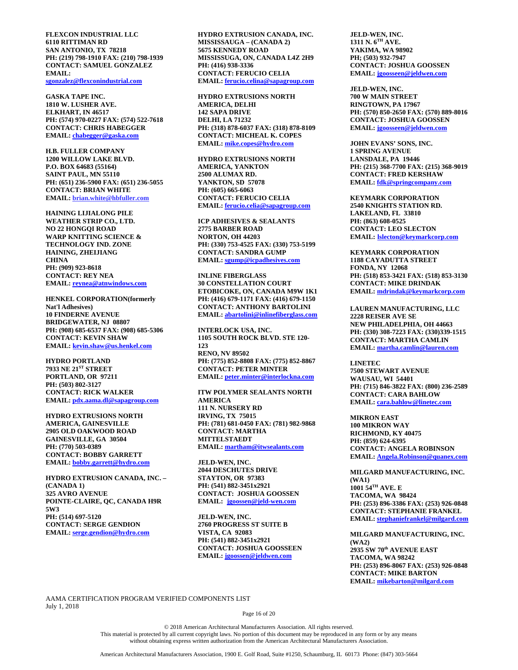**FLEXCON INDUSTRIAL LLC 6110 RITTIMAN RD SAN ANTONIO, TX 78218 PH: (219) 798-1910 FAX: (210) 798-1939 CONTACT: SAMUEL GONZALEZ EMAIL: [sgonzalez@flexconindustrial.com](mailto:sgonzalez@flexconindustrial.com)**

**GASKA TAPE INC. 1810 W. LUSHER AVE. ELKHART, IN 46517 PH: (574) 970-0227 FAX: (574) 522-7618 CONTACT: CHRIS HABEGGER EMAIL: [chabegger@gaska.com](mailto:chabegger@gaska.com)**

**H.B. FULLER COMPANY 1200 WILLOW LAKE BLVD. P.O. BOX 64683 (55164) SAINT PAUL, MN 55110 PH: (651) 236-5900 FAX: (651) 236-5055 CONTACT: BRIAN WHITE EMAIL: brian.white@hbfuller.com**

**HAINING LIJIALONG PILE WEATHER STRIP CO., LTD. NO 22 HONGQI ROAD WARP KNITTING SCIENCE & TECHNOLOGY IND. ZONE HAINING, ZHEIJIANG CHINA PH: (909) 923-8618 CONTACT: REY NEA EMAIL: [reynea@atnwindows.com](mailto:reynea@atnwindows.com)**

**HENKEL CORPORATION(formerly Nat'l Adhesives) 10 FINDERNE AVENUE BRIDGEWATER, NJ 08807 PH: (908) 685-6537 FAX: (908) 685-5306 CONTACT: KEVIN SHAW EMAIL: [kevin.shaw@us.henkel.com](mailto:kevin.shaw@us.henkel.com)**

**HYDRO PORTLAND 7933 NE 21ST STREET PORTLAND, OR 97211 PH: (503) 802-3127 CONTACT: RICK WALKER EMAIL: [pdx.aama.dl@sapagroup.com](mailto:pdx.aama.dl@sapagroup.com)**

**HYDRO EXTRUSIONS NORTH AMERICA, GAINESVILLE 2905 OLD OAKWOOD ROAD GAINESVILLE, GA 30504 PH: (770) 503-0389 CONTACT: BOBBY GARRETT EMAIL: [bobby.garrett@hydro.com](mailto:bobby.garrett@hydro.com)**

**HYDRO EXTRUSION CANADA, INC. – (CANADA 1) 325 AVRO AVENUE POINTE-CLAIRE, QC, CANADA H9R 5W3 PH: (514) 697-5120 CONTACT: SERGE GENDION EMAIL: [serge.gendion@hydro.com](mailto:serge.gendion@hydro.com)**

**HYDRO EXTRUSION CANADA, INC. MISSISSAUGA – (CANADA 2) 5675 KENNEDY ROAD MISSISSUGA, ON, CANADA L4Z 2H9 PH: (416) 938-3336 CONTACT: FERUCIO CELIA EMAIL: [ferucio.celina@sapagroup.com](mailto:ferucio.celina@sapagroup.com)**

**HYDRO EXTRUSIONS NORTH AMERICA, DELHI 142 SAPA DRIVE DELHI, LA 71232 PH: (318) 878-6037 FAX: (318) 878-8109 CONTACT: MICHEAL K. COPES EMAIL: [mike.copes@hydro.com](mailto:mike.copes@hydro.com)**

**HYDRO EXTRUSIONS NORTH AMERICA, YANKTON 2500 ALUMAX RD. YANKTON, SD 57078 PH: (605) 665-6063 CONTACT: FERUCIO CELIA EMAIL: [ferucio.celia@sapagroup.com](mailto:ferucio.celia@sapagroup.com)**

**ICP ADHESIVES & SEALANTS 2775 BARBER ROAD NORTON, OH 44203 PH: (330) 753-4525 FAX: (330) 753-5199 CONTACT: SANDRA GUMP EMAIL: [sgump@icpadhesives.com](mailto:sgump@icpadhesives.com)**

**INLINE FIBERGLASS 30 CONSTELLATION COURT ETOBICOKE, ON, CANADA M9W 1K1 PH: (416) 679-1171 FAX: (416) 679-1150 CONTACT: ANTHONY BARTOLINI EMAIL: [abartolini@inlinefiberglass.com](mailto:abartolini@inlinefiberglass.com)**

**INTERLOCK USA, INC. 1105 SOUTH ROCK BLVD. STE 120- 123 RENO, NV 89502 PH: (775) 852-8808 FAX: (775) 852-8867 CONTACT: PETER MINTER EMAIL: [peter.minter@interlockna.com](mailto:peter.minter@interlockna.com)**

**ITW POLYMER SEALANTS NORTH AMERICA 111 N. NURSERY RD IRVING, TX 75015 PH: (781) 681-0450 FAX: (781) 982-9868 CONTACT: MARTHA MITTELSTAEDT EMAIL: martham@itwsealants.com**

**JELD-WEN, INC. 2044 DESCHUTES DRIVE STAYTON, OR 97383 PH: (541) 882-3451x2921 CONTACT: JOSHUA GOOSSEN EMAIL: [jgoossen@jeld-wen.com](mailto:jgoossen@jeld-wen.com)**

**JELD-WEN, INC. 2760 PROGRESS ST SUITE B VISTA, CA 92083 PH: (541) 882-3451x2921 CONTACT: JOSHUA GOOSSEEN EMAIL: [jgoossen@jeldwen.com](mailto:jgoossen@jeldwen.com)**

**JELD-WEN, INC. 1311 N. 6TH AVE. YAKIMA, WA 98902 PH; (503) 932-7947 CONTACT: JOSHUA GOOSSEN EMAIL: [jgoosseen@jeldwen.com](mailto:jgoosseen@jeldwen.com)**

**JELD-WEN, INC. 700 W MAIN STREET RINGTOWN, PA 17967 PH: (570) 850-2650 FAX: (570) 889-8016 CONTACT: JOSHUA GOOSSEN EMAIL: [jgoosseen@jeldwen.com](mailto:jgoosseen@jeldwen.com)**

**JOHN EVANS' SONS, INC. 1 SPRING AVENUE LANSDALE, PA 19446 PH: (215) 368-7700 FAX: (215) 368-9019 CONTACT: FRED KERSHAW EMAIL: [fdk@springcompany.com](mailto:fdk@springcompany.com)**

**KEYMARK CORPORATION 2540 KNIGHTS STATION RD. LAKELAND, FL 33810 PH: (863) 608-0525 CONTACT: LEO SLECTON EMAIL: [lslecton@keymarkcorp.com](mailto:lslecton@keymarkcorp.com)**

**KEYMARK CORPORATION 1188 CAYADUTTA STREET FONDA, NY 12068 PH: (518) 853-3421 FAX: (518) 853-3130 CONTACT: MIKE DRINDAK EMAIL: [mdrindak@keymarkcorp.com](mailto:mdrindak@keymarkcorp.com)**

**LAUREN MANUFACTURING, LLC 2228 REISER AVE SE NEW PHILADELPHIA, OH 44663 PH: (330) 308-7223 FAX: (330)339-1515 CONTACT: MARTHA CAMLIN EMAIL: [martha.camlin@lauren.com](mailto:martha.camlin@lauren.com)**

**LINETEC 7500 STEWART AVENUE WAUSAU, WI 54401 PH: (715) 846-3822 FAX: (800) 236-2589 CONTACT: CARA BAHLOW EMAIL: [cara.bahlow@linetec.com](mailto:cara.bahlow@linetec.com)**

**MIKRON EAST 100 MIKRON WAY RICHMOND, KY 40475 PH: (859) 624-6395 CONTACT: ANGELA ROBINSON EMAIL: [Angela.Robinson@quanex.com](mailto:Angela.Robinson@quanex.com)**

**MILGARD MANUFACTURING, INC. (WA1) 1001 54TH AVE. E TACOMA, WA 98424 PH: (253) 896-3386 FAX: (253) 926-0848 CONTACT: STEPHANIE FRANKEL EMAIL: [stephaniefrankel@milgard.com](mailto:stephaniefrankel@milgard.com)**

**MILGARD MANUFACTURING, INC. (WA2) 2935 SW 70th AVENUE EAST TACOMA, WA 98242 PH: (253) 896-8067 FAX: (253) 926-0848 CONTACT: MIKE BARTON EMAIL: [mikebarton@milgard.com](mailto:mikebarton@milgard.com)**

AAMA CERTIFICATION PROGRAM VERIFIED COMPONENTS LIST July 1, 2018

Page 16 of 20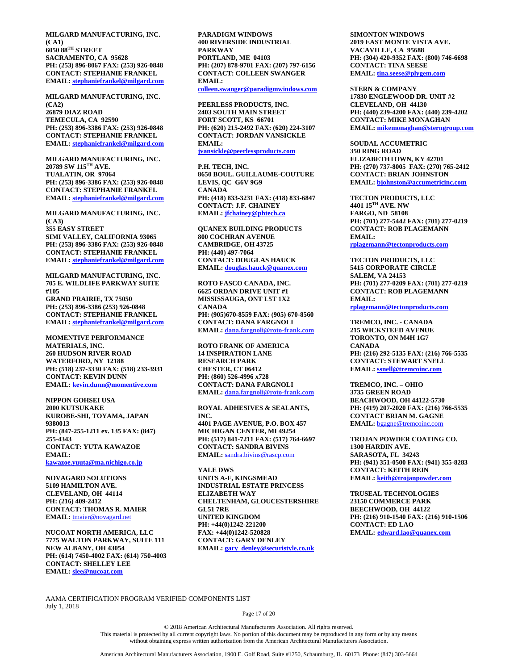**MILGARD MANUFACTURING, INC. (CA1) 6050 88TH STREET SACRAMENTO, CA 95628 PH: (253) 896-8067 FAX: (253) 926-0848 CONTACT: STEPHANIE FRANKEL EMAIL: [stephaniefrankel@milgard.com](mailto:stephaniefrankel@milgard.com)**

**MILGARD MANUFACTURING, INC. (CA2) 26879 DIAZ ROAD TEMECULA, CA 92590 PH: (253) 896-3386 FAX: (253) 926-0848 CONTACT: STEPHANIE FRANKEL EMAIL: [stephaniefrankel@milgard.com](mailto:stephaniefrankel@milgard.com)**

**MILGARD MANUFACTURING, INC. 20789 SW 115TH AVE. TUALATIN, OR 97064 PH: (253) 896-3386 FAX: (253) 926-0848 CONTACT: STEPHANIE FRANKEL EMAIL: [stephaniefrankel@milgard.com](mailto:stephaniefrankel@milgard.com)**

**MILGARD MANUFACTURING, INC. (CA3) 355 EASY STREET SIMI VALLEY, CALIFORNIA 93065 PH: (253) 896-3386 FAX: (253) 926-0848 CONTACT: STEPHANIE FRANKEL EMAIL: [stephaniefrankel@milgard.com](mailto:stephaniefrankel@milgard.com)**

**MILGARD MANUFACTURING, INC. 705 E. WILDLIFE PARKWAY SUITE #105 GRAND PRAIRIE, TX 75050 PH: (253) 896-3386 (253) 926-0848 CONTACT: STEPHANIE FRANKEL EMAIL: [stephaniefrankel@milgard.com](mailto:stephaniefrankel@milgard.com)**

**MOMENTIVE PERFORMANCE MATERIALS, INC. 260 HUDSON RIVER ROAD WATERFORD, NY 12188 PH: (518) 237-3330 FAX: (518) 233-3931 CONTACT: KEVIN DUNN EMAIL: [kevin.dunn@momentive.com](mailto:kevin.dunn@momentive.com)**

**NIPPON GOHSEI USA 2000 KUTSUKAKE KUROBE-SHI, TOYAMA, JAPAN 9380013 PH: (847-255-1211 ex. 135 FAX: (847) 255-4343 CONTACT: YUTA KAWAZOE EMAIL: [kawazoe.yuuta@ma.nichigo.co.jp](mailto:kawazoe.yuuta@ma.nichigo.co.jp)**

**NOVAGARD SOLUTIONS 5109 HAMILTON AVE. CLEVELAND, OH 44114 PH: (216) 409-2412 CONTACT: THOMAS R. MAIER EMAIL:** [tmaier@novagard.net](mailto:tmaier@novagard.net)

**NUCOAT NORTH AMERICA, LLC 7775 WALTON PARKWAY, SUITE 111 NEW ALBANY, OH 43054 PH: (614) 7450-4002 FAX: (614) 750-4003 CONTACT: SHELLEY LEE EMAIL: [slee@nucoat.com](mailto:slee@nucoat.com)**

**PARADIGM WINDOWS 400 RIVERSIDE INDUSTRIAL PARKWAY PORTLAND, ME 04103 PH: (207) 878-9701 FAX: (207) 797-6156 CONTACT: COLLEEN SWANGER EMAIL: [colleen.swanger@paradigmwindows.com](mailto:colleen.swanger@paradigmwindows.com)**

**PEERLESS PRODUCTS, INC. 2403 SOUTH MAIN STREET FORT SCOTT, KS 66701 PH: (620) 215-2492 FAX: (620) 224-3107 CONTACT: JORDAN VANSICKLE EMAIL: [jvansickle@peerlessproducts.com](mailto:jvansickle@peerlessproducts.com)**

**P.H. TECH, INC. 8650 BOUL. GUILLAUME-COUTURE LEVIS, QC G6V 9G9 CANADA PH: (418) 833-3231 FAX: (418) 833-6847 CONTACT: J.F. CHAINEY EMAIL: [jfchainey@phtech.ca](mailto:jfchainey@phtech.ca)**

**QUANEX BUILDING PRODUCTS 800 COCHRAN AVENUE CAMBRIDGE, OH 43725 PH: (440) 497-7064 CONTACT: DOUGLAS HAUCK EMAIL: [douglas.hauck@quanex.com](mailto:douglas.hauck@quanex.com)**

**ROTO FASCO CANADA, INC. 6625 ORDAN DRIVE UNIT #1 MISSISSAUGA, ONT L5T 1X2 CANADA PH: (905)670-8559 FAX: (905) 670-8560 CONTACT: DANA FARGNOLI EMAIL: dana.fargnoli@roto-frank.com**

**ROTO FRANK OF AMERICA 14 INSPIRATION LANE RESEARCH PARK CHESTER, CT 06412 PH: (860) 526-4996 x728 CONTACT: DANA FARGNOLI EMAIL: dana.fargnoli@roto-frank.com**

**ROYAL ADHESIVES & SEALANTS, INC.**

**4401 PAGE AVENUE, P.O. BOX 457 MICHIGAN CENTER, MI 49254 PH: (517) 841-7211 FAX: (517) 764-6697 CONTACT: SANDRA BIVINS EMAIL:** [sandra.bivins@rascp.com](mailto:sandra.bivins@rascp.com)

**YALE DWS UNITS A-F, KINGSMEAD INDUSTRIAL ESTATE PRINCESS ELIZABETH WAY CHELTENHAM, GLOUCESTERSHIRE GL51 7RE UNITED KINGDOM PH: +44(0)1242-221200 FAX: +44(0)1242-520828 CONTACT: GARY DENLEY EMAIL: [gary\\_denley@securistyle.co.uk](mailto:gary_denley@securistyle.co.uk)**

**SIMONTON WINDOWS 2019 EAST MONTE VISTA AVE. VACAVILLE, CA 95688 PH: (304) 420-9352 FAX: (800) 746-6698 CONTACT: TINA SEESE EMAIL: [tina.seese@plygem.com](mailto:tina.seese@plygem.com)**

**STERN & COMPANY 17830 ENGLEWOOD DR. UNIT #2 CLEVELAND, OH 44130 PH: (440) 239-4200 FAX: (440) 239-4202 CONTACT: MIKE MONAGHAN EMAIL: [mikemonaghan@sterngroup.com](mailto:mikemonaghan@sterngroup.com)**

**SOUDAL ACCUMETRIC 350 RING ROAD ELIZABETHTOWN, KY 42701 PH: (270) 737-8005 FAX: (270) 765-2412 CONTACT: BRIAN JOHNSTON EMAIL: [bjohnston@accumetricinc.com](mailto:bjohnston@accumetricinc.com)**

**TECTON PRODUCTS, LLC 4401 15TH AVE. NW FARGO, ND 58108 PH: (701) 277-5442 FAX: (701) 277-0219 CONTACT: ROB PLAGEMANN EMAIL: [rplagemann@tectonproducts.com](mailto:rplagemann@tectonproducts.com)**

**TECTON PRODUCTS, LLC 5415 CORPORATE CIRCLE SALEM, VA 24153 PH: (701) 277-0209 FAX: (701) 277-0219 CONTACT: ROB PLAGEMANN EMAIL: [rplagemann@tectonproducts.com](mailto:rplagemann@tectonproducts.com)**

**TREMCO, INC. - CANADA 215 WICKSTEED AVENUE TORONTO, ON M4H 1G7 CANADA PH: (216) 292-5135 FAX: (216) 766-5535 CONTACT: STEWART SNELL EMAIL: [ssnell@tremcoinc.com](mailto:ssnell@tremcoinc.com)**

**TREMCO, INC. – OHIO 3735 GREEN ROAD BEACHWOOD, OH 44122-5730 PH: (419) 207-2020 FAX: (216) 766-5535 CONTACT BRIAN M. GAGNE EMAIL:** [bgagne@tremcoinc.com](mailto:bgagne@tremcoinc.com)

**TROJAN POWDER COATING CO. 1300 HARDIN AVE. SARASOTA, FL 34243 PH: (941) 351-0500 FAX: (941) 355-8283 CONTACT: KEITH REIN EMAIL: [keith@trojanpowder.com](mailto:keith@trojanpowder.com)**

**TRUSEAL TECHNOLOGIES 23150 COMMERCE PARK BEECHWOOD, OH 44122 PH: (216) 910-1540 FAX: (216) 910-1506 CONTACT: ED LAO EMAIL: [edward.lao@quanex.com](mailto:edward.lao@quanex.com)**

AAMA CERTIFICATION PROGRAM VERIFIED COMPONENTS LIST July 1, 2018

Page 17 of 20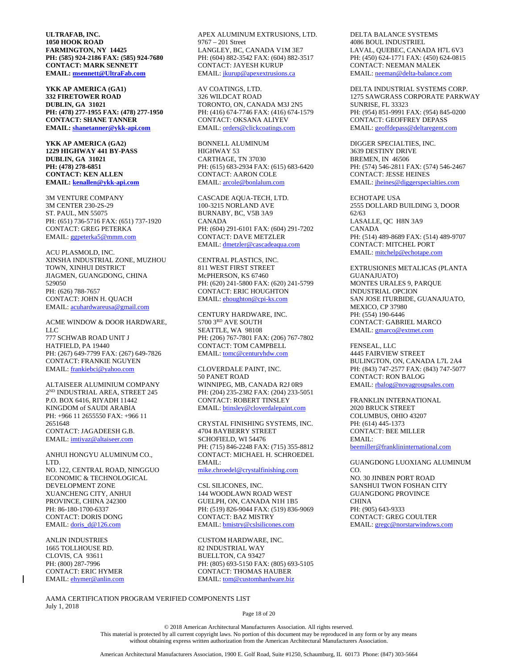**ULTRAFAB, INC. 1050 HOOK ROAD FARMINGTON, NY 14425 PH: (585) 924-2186 FAX: (585) 924-7680 CONTACT: MARK SENNETT EMAIL: [msennett@UltraFab.com](mailto:msennett@UltraFab.com)**

**YKK AP AMERICA (GA1) 332 FIRETOWER ROAD DUBLIN, GA 31021 PH: (478) 277-1955 FAX: (478) 277-1950 CONTACT: SHANE TANNER EMAIL: [shanetanner@ykk-api.com](mailto:shanetanner@ykk-api.com)**

**YKK AP AMERICA (GA2) 1229 HIGHWAY 441 BY-PASS DUBLIN, GA 31021 PH: (478) 278-6851 CONTACT: KEN ALLEN EMAIL: [kenallen@ykk-api.com](mailto:kenallen@ykk-api.com)**

3M VENTURE COMPANY 3M CENTER 230-2S-29 ST. PAUL, MN 55075 PH: (651) 736-5716 FAX: (651) 737-1920 CONTACT: GREG PETERKA EMAIL[: ggpeterka5@mmm.com](mailto:ggpeterka5@mmm.com)

ACU PLASMOLD, INC. XINSHA INDUSTRIAL ZONE, MUZHOU TOWN, XINHUI DISTRICT JIAGMEN, GUANGDONG, CHINA 529050 PH: (626) 788-7657 CONTACT: JOHN H. QUACH EMAIL[: acuhardwareusa@gmail.com](mailto:acuhardwareusa@gmail.com)

ACME WINDOW & DOOR HARDWARE, LLC 777 SCHWAB ROAD UNIT J HATFIELD, PA 19440 PH: (267) 649-7799 FAX: (267) 649-7826 CONTACT: FRANKIE NGUYEN EMAIL[: frankiebci@yahoo.com](mailto:frankiebci@yahoo.com)

ALTAISEER ALUMINIUM COMPANY 2ND INDUSTRIAL AREA, STREET 245 P.O. BOX 6416, RIYADH 11442 KINGDOM of SAUDI ARABIA PH: +966 11 2655550 FAX: +966 11 2651648 CONTACT: JAGADEESH G.B. EMAIL[: imtiyaz@altaiseer.com](mailto:imtiyaz@altaiseer.com)

ANHUI HONGYU ALUMINUM CO., LTD. NO. 122, CENTRAL ROAD, NINGGUO ECONOMIC & TECHNOLOGICAL DEVELOPMENT ZONE XUANCHENG CITY, ANHUI PROVINCE, CHINA 242300 PH: 86-180-1700-6337 CONTACT: DORIS DONG EMAIL[: doris\\_d@126.com](mailto:doris_d@126.com)

ANLIN INDUSTRIES 1665 TOLLHOUSE RD. CLOVIS, CA 93611 PH: (800) 287-7996 CONTACT: ERIC HYMER EMAIL[: ehymer@anlin.com](mailto:ehymer@anlin.com)

AAMA CERTIFICATION PROGRAM VERIFIED COMPONENTS LIST July 1, 2018

APEX ALUMINUM EXTRUSIONS, LTD. 9767 – 201 Street LANGLEY, BC, CANADA V1M 3E7 PH: (604) 882-3542 FAX: (604) 882-3517 CONTACT: JAYESH KURUP EMAIL[: jkurup@apexextrusions.ca](mailto:jkurup@apexextrusions.ca)

AV COATINGS, LTD. 326 WILDCAT ROAD TORONTO, ON, CANADA M3J 2N5 PH: (416) 674-7746 FAX: (416) 674-1579 CONTACT: OKSANA ALIYEV EMAIL[: orders@clickcoatings.com](mailto:orders@clickcoatings.com)

BONNELL ALUMINUM HIGHWAY 53 CARTHAGE, TN 37030 PH: (615) 683-2934 FAX: (615) 683-6420 CONTACT: AARON COLE EMAIL[: arcole@bonlalum.com](mailto:arcole@bonlalum.com)

CASCADE AQUA-TECH, LTD. 100-3215 NORLAND AVE BURNABY, BC, V5B 3A9 CANADA PH: (604) 291-6101 FAX: (604) 291-7202 CONTACT: DAVE METZLER EMAIL[: dmetzler@cascadeaqua.com](mailto:dmetzler@cascadeaqua.com)

CENTRAL PLASTICS, INC. 811 WEST FIRST STREET McPHERSON, KS 67460 PH: (620) 241-5800 FAX: (620) 241-5799 CONTACT: ERIC HOUGHTON EMAIL[: ehoughton@cpi-ks.com](mailto:ehoughton@cpi-ks.com)

CENTURY HARDWARE, INC. 5700 3RD AVE SOUTH SEATTLE, WA 98108 PH: (206) 767-7801 FAX: (206) 767-7802 CONTACT: TOM CAMPBELL EMAIL[: tomc@centuryhdw.com](mailto:tomc@centuryhdw.com)

CLOVERDALE PAINT, INC. 50 PANET ROAD WINNIPEG, MB, CANADA R2J 0R9 PH: (204) 235-2382 FAX: (204) 233-5051 CONTACT: ROBERT TINSLEY EMAIL[: btinsley@cloverdalepaint.com](mailto:btinsley@cloverdalepaint.com)

CRYSTAL FINISHING SYSTEMS, INC. 4704 BAYBERRY STREET SCHOFIELD, WI 54476 PH: (715) 846-2248 FAX: (715) 355-8812 CONTACT: MICHAEL H. SCHROEDEL EMAIL: [mike.chroedel@crystalfinishing.com](mailto:mike.chroedel@crystalfinishing.com)

CSL SILICONES, INC. 144 WOODLAWN ROAD WEST GUELPH, ON, CANADA N1H 1B5 PH: (519) 826-9044 FAX: (519) 836-9069 CONTACT: BAZ MISTRY EMAIL[: bmistry@cslsilicones.com](mailto:bmistry@cslsilicones.com)

CUSTOM HARDWARE, INC. 82 INDUSTRIAL WAY BUELLTON, CA 93427 PH: (805) 693-5150 FAX: (805) 693-5105 CONTACT: THOMAS HAUBER EMAIL[: tom@customhardware.biz](mailto:tom@customhardware.biz)

DELTA BALANCE SYSTEMS 4086 BOUL INDUSTRIEL LAVAL, QUEBEC, CANADA H7L 6V3 PH: (450) 624-1771 FAX: (450) 624-0815 CONTACT: NEEMAN MALEK EMAIL[: neeman@delta-balance.com](mailto:neeman@delta-balance.com)

DELTA INDUSTRIAL SYSTEMS CORP. 1275 SAWGRASS CORPORATE PARKWAY SUNRISE, FL 33323 PH: (954) 851-9991 FAX: (954) 845-0200 CONTACT: GEOFFREY DEPASS EMAIL[: geoffdepass@deltaregent.com](mailto:geoffdepass@deltaregent.com)

DIGGER SPECIALTIES, INC. 3639 DESTINY DRIVE BREMEN, IN 46506 PH: (574) 546-2811 FAX: (574) 546-2467 CONTACT: JESSE HEINES EMAIL[: jheines@diggerspecialties.com](mailto:jheines@diggerspecialties.com)

ECHOTAPE USA 2555 DOLLARD BUILDING 3, DOOR 62/63 LASALLE, QC H8N 3A9 CANADA PH: (514) 489-8689 FAX: (514) 489-9707 CONTACT: MITCHEL PORT EMAIL[: mitchelp@echotape.com](mailto:mitchelp@echotape.com)

EXTRUSIONES METALICAS (PLANTA GUANAJUATO) MONTES URALES 9, PARQUE INDUSTRIAL OPCION SAN JOSE ITURBIDE, GUANAJUATO, MEXICO, CP 37980 PH: (554) 190-6446 CONTACT: GABRIEL MARCO EMAIL[: gmarco@extmet.com](mailto:gmarco@extmet.com)

FENSEAL, LLC 4445 FAIRVIEW STREET BULINGTON, ON, CANADA L7L 2A4 PH: (843) 747-2577 FAX: (843) 747-5077 CONTACT: RON BALOG EMAIL[: rbalog@novagroupsales.com](mailto:rbalog@novagroupsales.com)

FRANKLIN INTERNATIONAL 2020 BRUCK STREET COLUMBUS, OHIO 43207 PH: (614) 445-1373 CONTACT: BEE MILLER EMAIL: [beemiller@franklininternational.com](mailto:beemiller@franklininternational.com)

GUANGDONG LUOXIANG ALUMINUM CO. NO. 30 JINBEN PORT ROAD SANSHUI TWON FOSHAN CITY GUANGDONG PROVINCE **CHINA** PH: (905) 643-9333 CONTACT: GREG COULTER EMAIL[: gregc@norstarwindows.com](mailto:gregc@norstarwindows.com)

Page 18 of 20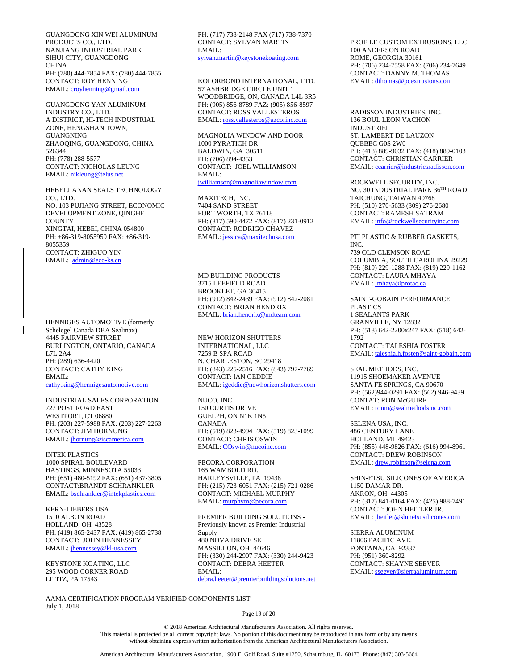GUANGDONG XIN WEI ALUMINUM PRODUCTS CO., LTD. NANJIANG INDUSTRIAL PARK SIHUI CITY, GUANGDONG **CHINA** PH: (780) 444-7854 FAX: (780) 444-7855 CONTACT: ROY HENNING EMAIL: croyhenning@gmail.com

GUANGDONG YAN ALUMINUM INDUSTRY CO., LTD. A DISTRICT, HI-TECH INDUSTRIAL ZONE, HENGSHAN TOWN, GUANGNING ZHAOQING, GUANGDONG, CHINA 526344 PH: (778) 288-5577 CONTACT: NICHOLAS LEUNG EMAIL[: nikleung@telus.net](mailto:nikleung@telus.net)

HEBEI JIANAN SEALS TECHNOLOGY CO., LTD. NO. 103 PUJIANG STREET, ECONOMIC DEVELOPMENT ZONE, QINGHE **COUNTY** XINGTAI, HEBEI, CHINA 054800 PH: +86-319-8055959 FAX: +86-319- 8055359 CONTACT: ZHIGUO YIN EMAIL: [admin@eco-ks.cn](mailto:admin@eco-ks.cn)

HENNIGES AUTOMOTIVE (formerly Schelegel Canada DBA Sealmax) 4445 FAIRVIEW STRRET BURLINGTON, ONTARIO, CANADA L7L 2A4 PH: (289) 636-4420 CONTACT: CATHY KING EMAIL: [cathy.king@hennigesautomotive.com](mailto:cathy.king@hennigesautomotive.com)

INDUSTRIAL SALES CORPORATION 727 POST ROAD EAST WESTPORT, CT 06880 PH: (203) 227-5988 FAX: (203) 227-2263 CONTACT: JIM HORNUNG EMAIL[: jhornung@iscamerica.com](mailto:jhornung@iscamerica.com)

INTEK PLASTICS 1000 SPIRAL BOULEVARD HASTINGS, MINNESOTA 55033 PH: (651) 480-5192 FAX: (651) 437-3805 CONTACT:BRANDT SCHRANKLER EMAIL[: bschrankler@intekplastics.com](mailto:bschrankler@intekplastics.com)

KERN-LIEBERS USA 1510 ALBON ROAD HOLLAND, OH 43528 PH: (419) 865-2437 FAX: (419) 865-2738 CONTACT: JOHN HENNESSEY EMAIL[: jhennessey@kl-usa.com](mailto:jhennessey@kl-usa.com)

KEYSTONE KOATING, LLC 295 WOOD CORNER ROAD LITITZ, PA 17543

AAMA CERTIFICATION PROGRAM VERIFIED COMPONENTS LIST July 1, 2018

PH: (717) 738-2148 FAX (717) 738-7370 CONTACT: SYLVAN MARTIN EMAIL: [sylvan.martin@keystonekoating.com](mailto:sylvan.martin@keystonekoating.com)

KOLORBOND INTERNATIONAL, LTD. 57 ASHBRIDGE CIRCLE UNIT 1 WOODBRIDGE, ON, CANADA L4L 3R5 PH: (905) 856-8789 FAZ: (905) 856-8597 CONTACT: ROSS VALLESTEROS EMAIL[: ross.vallesteros@azcorinc.com](mailto:ross.vallesteros@azcorinc.com)

MAGNOLIA WINDOW AND DOOR 1000 PYRATICH DR BALDWIN, GA 30511 PH: (706) 894-4353 CONTACT: JOEL WILLIAMSON EMAIL: [jwilliamson@magnoliawindow.com](mailto:jwilliamson@magnoliawindow.com)

MAXITECH, INC. 7404 SAND STREET FORT WORTH, TX 76118 PH: (817) 590-4472 FAX: (817) 231-0912 CONTACT: RODRIGO CHAVEZ EMAIL[: jessica@maxitechusa.com](mailto:jessica@maxitechusa.com)

MD BUILDING PRODUCTS 3715 LEEFIELD ROAD BROOKLET, GA 30415 PH: (912) 842-2439 FAX: (912) 842-2081 CONTACT: BRIAN HENDRIX EMAIL[: brian.hendrix@mdteam.com](mailto:brian.hendrix@mdteam.com)

NEW HORIZON SHUTTERS INTERNATIONAL, LLC 7259 B SPA ROAD N. CHARLESTON, SC 29418 PH: (843) 225-2516 FAX: (843) 797-7769 CONTACT: IAN GEDDIE EMAIL[: igeddie@newhorizonshutters.com](mailto:igeddie@newhorizonshutters.com)

NUCO, INC. 150 CURTIS DRIVE GUELPH, ON N1K 1N5 CANADA PH: (519) 823-4994 FAX: (519) 823-1099 CONTACT: CHRIS OSWIN EMAIL[: COswin@nucoinc.com](mailto:COswin@nucoinc.com)

PECORA CORPORATION 165 WAMBOLD RD. HARLEYSVILLE, PA 19438 PH: (215) 723-6051 FAX: (215) 721-0286 CONTACT: MICHAEL MURPHY EMAIL[: murphym@pecora.com](mailto:murphym@pecora.com)

PREMIER BUILDING SOLUTIONS - Previously known as Premier Industrial Supply 480 NOVA DRIVE SE MASSILLON, OH 44646 PH: (330) 244-2907 FAX: (330) 244-9423 CONTACT: DEBRA HEETER EMAIL: [debra.heeter@premierbuildingsolutions.net](mailto:debra.heeter@premierbuildingsolutions.net)

PROFILE CUSTOM EXTRUSIONS, LLC 100 ANDERSON ROAD ROME, GEORGIA 30161 PH: (706) 234-7558 FAX: (706) 234-7649 CONTACT: DANNY M. THOMAS EMAIL[: dthomas@pcextrusions.com](mailto:dthomas@pcextrusions.com)

RADISSON INDUSTRIES, INC. 136 BOUL LEON VACHON INDUSTRIEL ST. LAMBERT DE LAUZON QUEBEC G0S 2W0 PH: (418) 889-9032 FAX: (418) 889-0103 CONTACT: CHRISTIAN CARRIER EMAIL[: ccarrier@industriesradisson.com](mailto:ccarrier@industriesradisson.com)

ROCKWELL SECURITY, INC. NO. 30 INDUSTRIAL PARK 36TH ROAD TAICHUNG, TAIWAN 40768 PH: (510) 270-5633 (309) 276-2680 CONTACT: RAMESH SATRAM EMAIL[: info@rockwellsecurityinc.com](mailto:info@rockwellsecurityinc.com)

PTI PLASTIC & RUBBER GASKETS, INC. 739 OLD CLEMSON ROAD COLUMBIA, SOUTH CAROLINA 29229 PH: (819) 229-1288 FAX: (819) 229-1162 CONTACT: LAURA MHAYA EMAIL[: lmhaya@protac.ca](mailto:lmhaya@protac.ca)

SAINT-GOBAIN PERFORMANCE PLASTICS 1 SEALANTS PARK GRANVILLE, NY 12832 PH: (518) 642-2200x247 FAX: (518) 642- 1792 CONTACT: TALESHIA FOSTER EMAIL[: taleshia.h.foster@saint-gobain.com](mailto:taleshia.h.foster@saint-gobain.com)

SEAL METHODS, INC. 11915 SHOEMAKER AVENUE SANTA FE SPRINGS, CA 90670 PH: (562)944-0291 FAX: (562) 946-9439 CONTAT: RON McGUIRE EMAIL: ronm@sealmethodsinc.com

SELENA USA, INC. 486 CENTURY LANE HOLLAND, MI 49423 PH: (855) 448-9826 FAX: (616) 994-8961 CONTACT: DREW ROBINSON EMAIL[: drew.robinson@selena.com](mailto:drew.robinson@selena.com)

SHIN-ETSU SILICONES OF AMERICA 1150 DAMAR DR. AKRON, OH 44305 PH: (317) 841-0164 FAX: (425) 988-7491 CONTACT: JOHN HEITLER JR. EMAIL[: jheitler@shinetsusilicones.com](mailto:jheitler@shinetsusilicones.com)

SIERRA ALUMINUM 11806 PACIFIC AVE. FONTANA, CA 92337 PH: (951) 360-8292 CONTACT: SHAYNE SEEVER EMAIL[: sseever@sierraaluminum.com](mailto:sseever@sierraaluminum.com)

Page 19 of 20